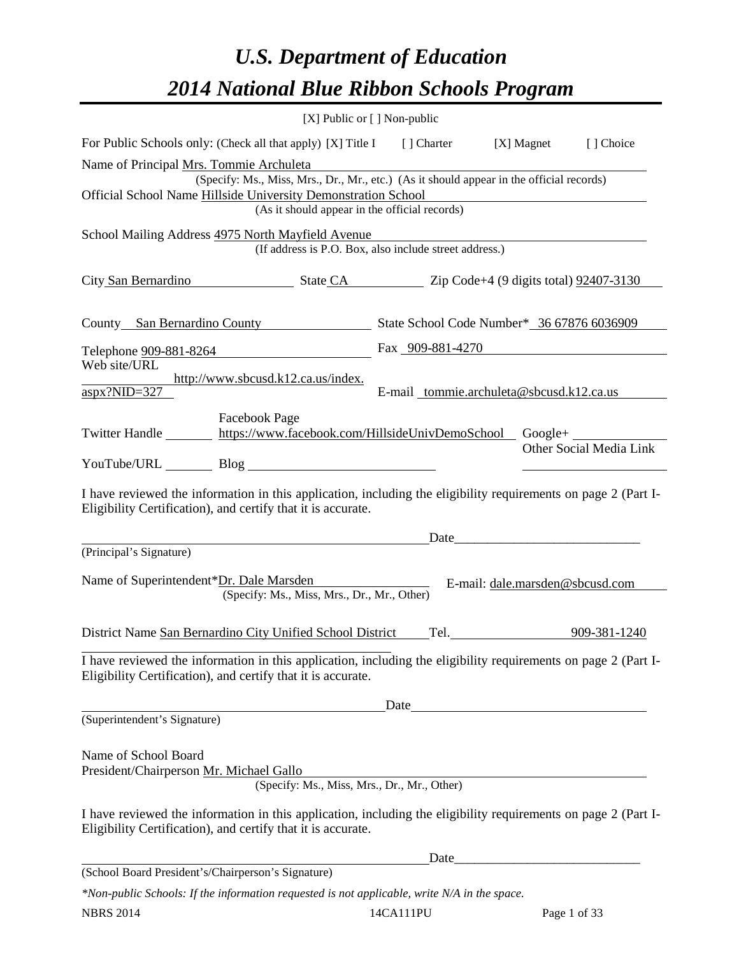# *U.S. Department of Education 2014 National Blue Ribbon Schools Program*

|                                                                                                                                                                                                                                                       | $[X]$ Public or $[ ]$ Non-public                                 |  |                                          |                         |  |  |  |  |
|-------------------------------------------------------------------------------------------------------------------------------------------------------------------------------------------------------------------------------------------------------|------------------------------------------------------------------|--|------------------------------------------|-------------------------|--|--|--|--|
| For Public Schools only: (Check all that apply) [X] Title I [] Charter [X] Magnet                                                                                                                                                                     |                                                                  |  |                                          | [] Choice               |  |  |  |  |
| Name of Principal Mrs. Tommie Archuleta<br>(Specify: Ms., Miss, Mrs., Dr., Mr., etc.) (As it should appear in the official records)<br>Official School Name Hillside University Demonstration School<br>(As it should appear in the official records) |                                                                  |  |                                          |                         |  |  |  |  |
| School Mailing Address 4975 North Mayfield Avenue                                                                                                                                                                                                     | (If address is P.O. Box, also include street address.)           |  |                                          |                         |  |  |  |  |
| City San Bernardino State CA Zip Code+4 (9 digits total) 92407-3130                                                                                                                                                                                   |                                                                  |  |                                          |                         |  |  |  |  |
| County San Bernardino County State School Code Number* 36 67876 6036909                                                                                                                                                                               |                                                                  |  |                                          |                         |  |  |  |  |
| Telephone <u>909-881-8264</u>                                                                                                                                                                                                                         |                                                                  |  | Fax 909-881-4270                         |                         |  |  |  |  |
| Web site/URL<br>http://www.sbcusd.k12.ca.us/index.<br>$\frac{aspx?NID=327}{ }$                                                                                                                                                                        |                                                                  |  | E-mail tommie.archuleta@sbcusd.k12.ca.us |                         |  |  |  |  |
| <b>Facebook Page</b><br>Twitter Handle https://www.facebook.com/HillsideUnivDemoSchool Google+                                                                                                                                                        |                                                                  |  |                                          | Other Social Media Link |  |  |  |  |
|                                                                                                                                                                                                                                                       |                                                                  |  |                                          |                         |  |  |  |  |
| I have reviewed the information in this application, including the eligibility requirements on page 2 (Part I-<br>Eligibility Certification), and certify that it is accurate.                                                                        |                                                                  |  |                                          |                         |  |  |  |  |
| (Principal's Signature)                                                                                                                                                                                                                               | <u> 1980 - Johann Barbara, martxa eta politikaria (h. 1908).</u> |  |                                          |                         |  |  |  |  |
| Name of Superintendent*Dr. Dale Marsden                                                                                                                                                                                                               | (Specify: Ms., Miss, Mrs., Dr., Mr., Other)                      |  | E-mail: dale.marsden@sbcusd.com          |                         |  |  |  |  |
| District Name San Bernardino City Unified School District Tel.                                                                                                                                                                                        |                                                                  |  |                                          | 909-381-1240            |  |  |  |  |
| I have reviewed the information in this application, including the eligibility requirements on page 2 (Part I-<br>Eligibility Certification), and certify that it is accurate.                                                                        |                                                                  |  |                                          |                         |  |  |  |  |
|                                                                                                                                                                                                                                                       |                                                                  |  |                                          |                         |  |  |  |  |
| (Superintendent's Signature)                                                                                                                                                                                                                          |                                                                  |  |                                          |                         |  |  |  |  |
| Name of School Board<br>President/Chairperson Mr. Michael Gallo                                                                                                                                                                                       | (Specify: Ms., Miss, Mrs., Dr., Mr., Other)                      |  |                                          |                         |  |  |  |  |
| I have reviewed the information in this application, including the eligibility requirements on page 2 (Part I-<br>Eligibility Certification), and certify that it is accurate.                                                                        |                                                                  |  |                                          |                         |  |  |  |  |
|                                                                                                                                                                                                                                                       |                                                                  |  | Date                                     |                         |  |  |  |  |
| (School Board President's/Chairperson's Signature)                                                                                                                                                                                                    |                                                                  |  |                                          |                         |  |  |  |  |

*\*Non-public Schools: If the information requested is not applicable, write N/A in the space.*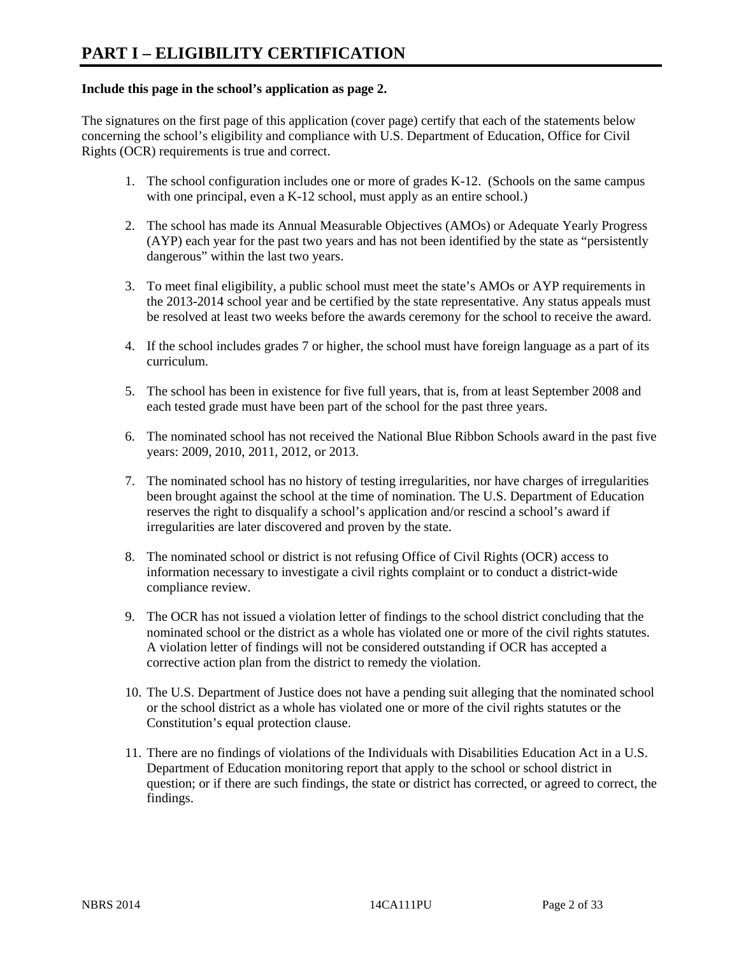### **Include this page in the school's application as page 2.**

The signatures on the first page of this application (cover page) certify that each of the statements below concerning the school's eligibility and compliance with U.S. Department of Education, Office for Civil Rights (OCR) requirements is true and correct.

- 1. The school configuration includes one or more of grades K-12. (Schools on the same campus with one principal, even a K-12 school, must apply as an entire school.)
- 2. The school has made its Annual Measurable Objectives (AMOs) or Adequate Yearly Progress (AYP) each year for the past two years and has not been identified by the state as "persistently dangerous" within the last two years.
- 3. To meet final eligibility, a public school must meet the state's AMOs or AYP requirements in the 2013-2014 school year and be certified by the state representative. Any status appeals must be resolved at least two weeks before the awards ceremony for the school to receive the award.
- 4. If the school includes grades 7 or higher, the school must have foreign language as a part of its curriculum.
- 5. The school has been in existence for five full years, that is, from at least September 2008 and each tested grade must have been part of the school for the past three years.
- 6. The nominated school has not received the National Blue Ribbon Schools award in the past five years: 2009, 2010, 2011, 2012, or 2013.
- 7. The nominated school has no history of testing irregularities, nor have charges of irregularities been brought against the school at the time of nomination. The U.S. Department of Education reserves the right to disqualify a school's application and/or rescind a school's award if irregularities are later discovered and proven by the state.
- 8. The nominated school or district is not refusing Office of Civil Rights (OCR) access to information necessary to investigate a civil rights complaint or to conduct a district-wide compliance review.
- 9. The OCR has not issued a violation letter of findings to the school district concluding that the nominated school or the district as a whole has violated one or more of the civil rights statutes. A violation letter of findings will not be considered outstanding if OCR has accepted a corrective action plan from the district to remedy the violation.
- 10. The U.S. Department of Justice does not have a pending suit alleging that the nominated school or the school district as a whole has violated one or more of the civil rights statutes or the Constitution's equal protection clause.
- 11. There are no findings of violations of the Individuals with Disabilities Education Act in a U.S. Department of Education monitoring report that apply to the school or school district in question; or if there are such findings, the state or district has corrected, or agreed to correct, the findings.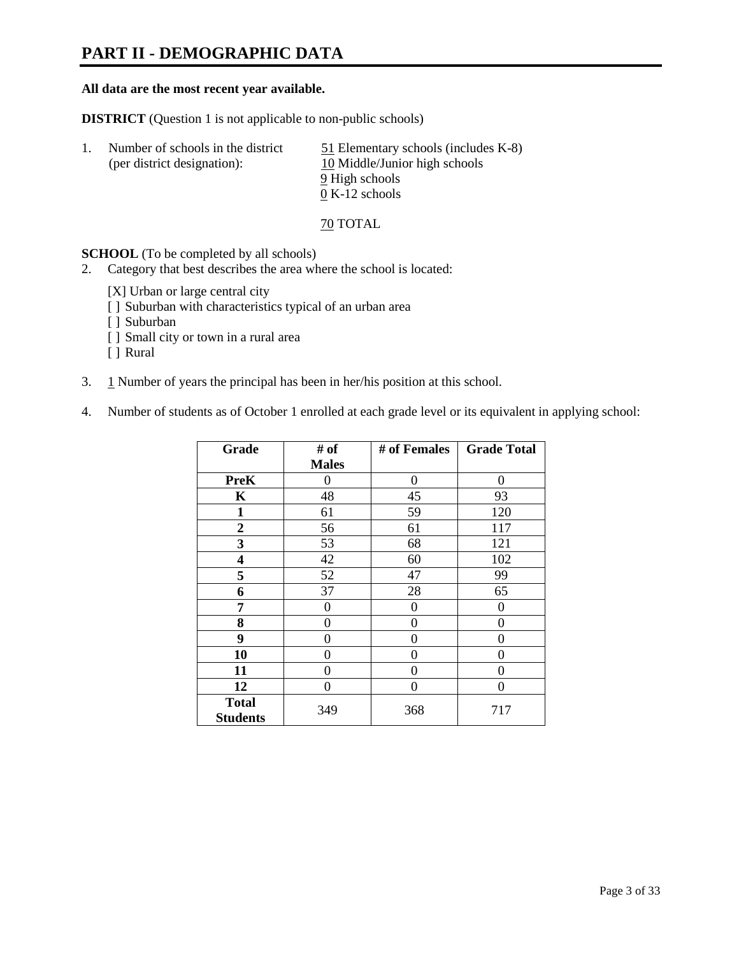## **PART II - DEMOGRAPHIC DATA**

### **All data are the most recent year available.**

**DISTRICT** (Question 1 is not applicable to non-public schools)

| $\perp$ | Number of schools in the district<br>(per district designation): | $51$ Elementary schools (includes K-8)<br>10 Middle/Junior high schools |
|---------|------------------------------------------------------------------|-------------------------------------------------------------------------|
|         |                                                                  | 9 High schools                                                          |
|         |                                                                  | $0 K-12$ schools                                                        |

70 TOTAL

**SCHOOL** (To be completed by all schools)

- 2. Category that best describes the area where the school is located:
	- [X] Urban or large central city
	- [ ] Suburban with characteristics typical of an urban area
	- [ ] Suburban
	- [ ] Small city or town in a rural area
	- [ ] Rural
- 3. 1 Number of years the principal has been in her/his position at this school.
- 4. Number of students as of October 1 enrolled at each grade level or its equivalent in applying school:

| Grade                           | # of         | # of Females | <b>Grade Total</b> |
|---------------------------------|--------------|--------------|--------------------|
|                                 | <b>Males</b> |              |                    |
| <b>PreK</b>                     | 0            | 0            | 0                  |
| K                               | 48           | 45           | 93                 |
| $\mathbf{1}$                    | 61           | 59           | 120                |
| $\boldsymbol{2}$                | 56           | 61           | 117                |
| 3                               | 53           | 68           | 121                |
| 4                               | 42           | 60           | 102                |
| 5                               | 52           | 47           | 99                 |
| 6                               | 37           | 28           | 65                 |
| 7                               | 0            | 0            | 0                  |
| 8                               | $\theta$     | 0            | 0                  |
| 9                               | $\theta$     | 0            | 0                  |
| 10                              | 0            | 0            | 0                  |
| 11                              | 0            | 0            | 0                  |
| 12                              | 0            | 0            | 0                  |
| <b>Total</b><br><b>Students</b> | 349          | 368          | 717                |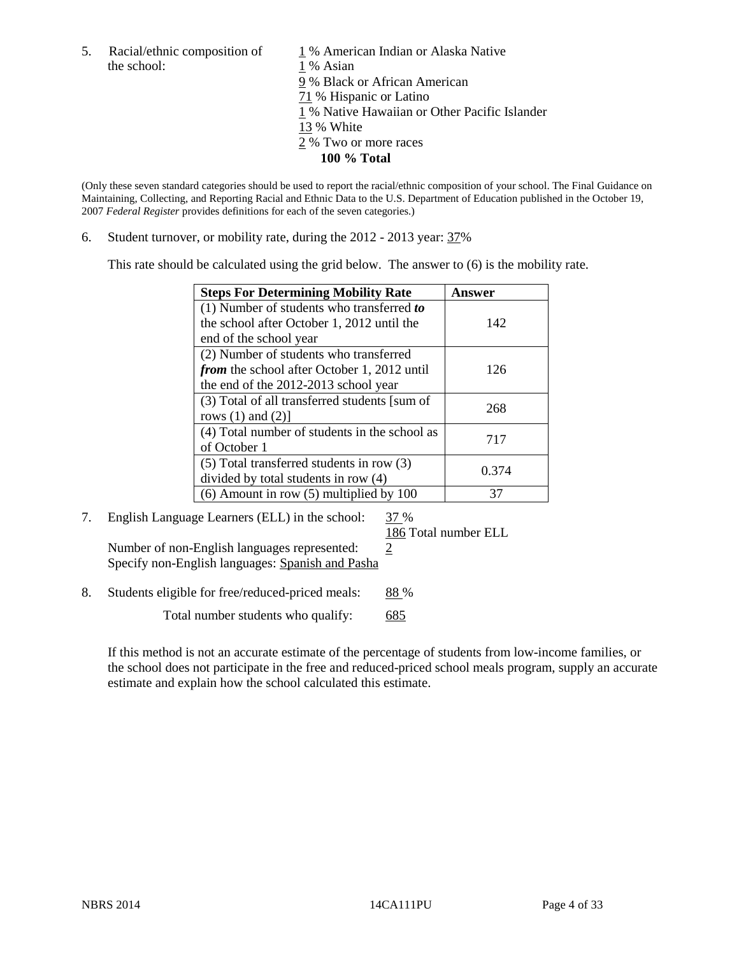the school: 1 % Asian

5. Racial/ethnic composition of  $1\%$  American Indian or Alaska Native 9 % Black or African American 71 % Hispanic or Latino 1 % Native Hawaiian or Other Pacific Islander 13 % White 2 % Two or more races **100 % Total** 

(Only these seven standard categories should be used to report the racial/ethnic composition of your school. The Final Guidance on Maintaining, Collecting, and Reporting Racial and Ethnic Data to the U.S. Department of Education published in the October 19, 2007 *Federal Register* provides definitions for each of the seven categories.)

6. Student turnover, or mobility rate, during the 2012 - 2013 year: 37%

This rate should be calculated using the grid below. The answer to (6) is the mobility rate.

| <b>Steps For Determining Mobility Rate</b>         | Answer |
|----------------------------------------------------|--------|
| (1) Number of students who transferred to          |        |
| the school after October 1, 2012 until the         | 142    |
| end of the school year                             |        |
| (2) Number of students who transferred             |        |
| <i>from</i> the school after October 1, 2012 until | 126    |
| the end of the 2012-2013 school year               |        |
| (3) Total of all transferred students [sum of      | 268    |
| rows $(1)$ and $(2)$ ]                             |        |
| (4) Total number of students in the school as      | 717    |
| of October 1                                       |        |
| $(5)$ Total transferred students in row $(3)$      | 0.374  |
| divided by total students in row (4)               |        |
| $(6)$ Amount in row $(5)$ multiplied by 100        | 37     |

### 7. English Language Learners (ELL) in the school: 37 %

186 Total number ELL

Number of non-English languages represented:  $2$ Specify non-English languages: Spanish and Pasha

8. Students eligible for free/reduced-priced meals: 88 %

Total number students who qualify: 685

If this method is not an accurate estimate of the percentage of students from low-income families, or the school does not participate in the free and reduced-priced school meals program, supply an accurate estimate and explain how the school calculated this estimate.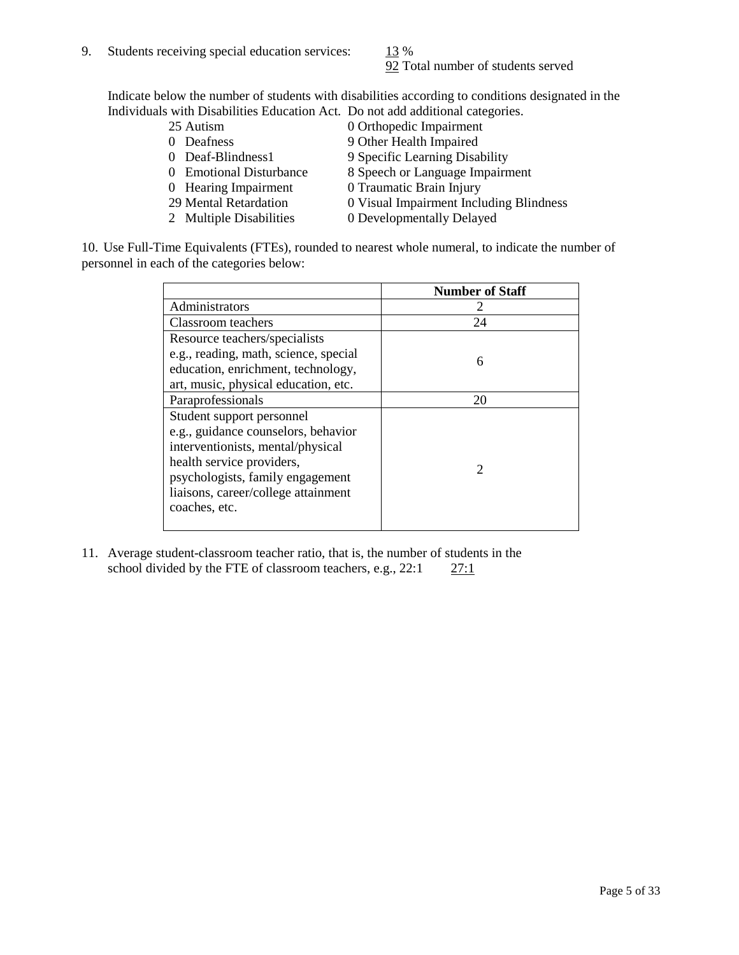92 Total number of students served

Indicate below the number of students with disabilities according to conditions designated in the Individuals with Disabilities Education Act. Do not add additional categories.

- 25 Autism 0 Orthopedic Impairment<br>0 Deafness 9 Other Health Impaired 9 Other Health Impaired 0 Deaf-Blindness1 9 Specific Learning Disability
- 0 Emotional Disturbance 8 Speech or Language Impairment
- 0 Hearing Impairment 0 Traumatic Brain Injury
- 29 Mental Retardation 0 Visual Impairment Including Blindness
- 2 Multiple Disabilities 0 Developmentally Delayed

10. Use Full-Time Equivalents (FTEs), rounded to nearest whole numeral, to indicate the number of personnel in each of the categories below:

|                                       | <b>Number of Staff</b>      |
|---------------------------------------|-----------------------------|
| Administrators                        |                             |
| Classroom teachers                    | 24                          |
| Resource teachers/specialists         |                             |
| e.g., reading, math, science, special | 6                           |
| education, enrichment, technology,    |                             |
| art, music, physical education, etc.  |                             |
| Paraprofessionals                     | 20                          |
| Student support personnel             |                             |
| e.g., guidance counselors, behavior   |                             |
| interventionists, mental/physical     |                             |
| health service providers,             | $\mathcal{D}_{\mathcal{L}}$ |
| psychologists, family engagement      |                             |
| liaisons, career/college attainment   |                             |
| coaches, etc.                         |                             |
|                                       |                             |

11. Average student-classroom teacher ratio, that is, the number of students in the school divided by the FTE of classroom teachers, e.g.,  $22:1$   $27:1$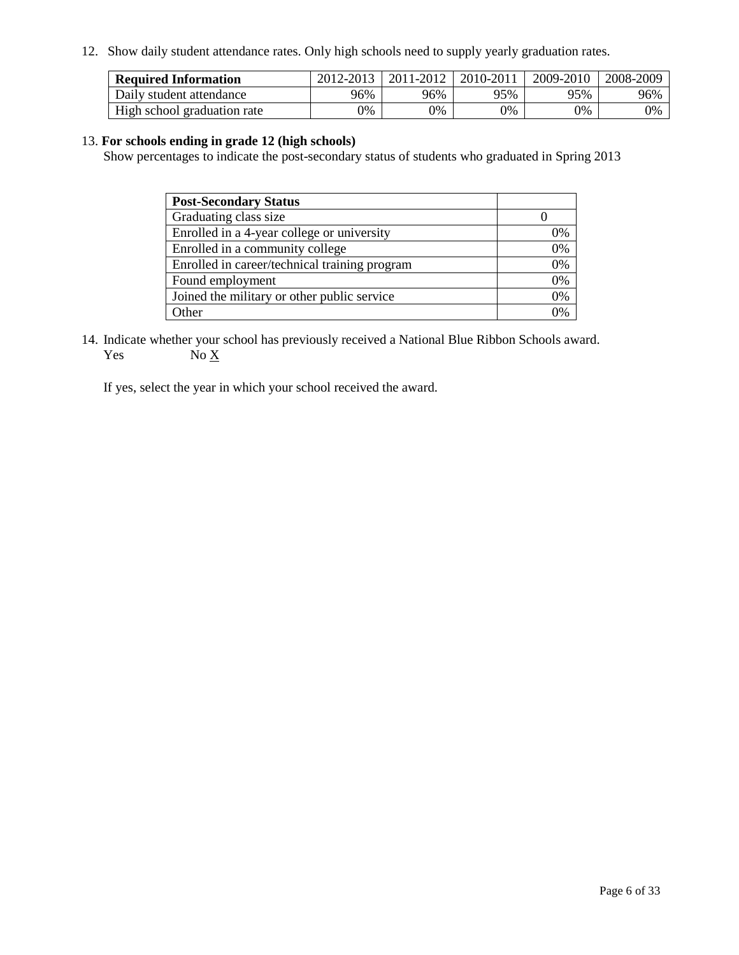12. Show daily student attendance rates. Only high schools need to supply yearly graduation rates.

| <b>Required Information</b> | 2012-2013 | 2011-2012 | 2010-2011 | 2009-2010 | 2008-2009 |
|-----------------------------|-----------|-----------|-----------|-----------|-----------|
| Daily student attendance    | 96%       | 96%       | 95%       | 95%       | 96%       |
| High school graduation rate | 0%        | 9%        | 0%        | 0%        | 0%        |

### 13. **For schools ending in grade 12 (high schools)**

Show percentages to indicate the post-secondary status of students who graduated in Spring 2013

| <b>Post-Secondary Status</b>                  |    |
|-----------------------------------------------|----|
| Graduating class size                         |    |
| Enrolled in a 4-year college or university    | 0% |
| Enrolled in a community college               | 0% |
| Enrolled in career/technical training program | 0% |
| Found employment                              | 0% |
| Joined the military or other public service   | 0% |
| <b>Other</b>                                  | 2% |

14. Indicate whether your school has previously received a National Blue Ribbon Schools award. Yes  $No \underline{X}$ 

If yes, select the year in which your school received the award.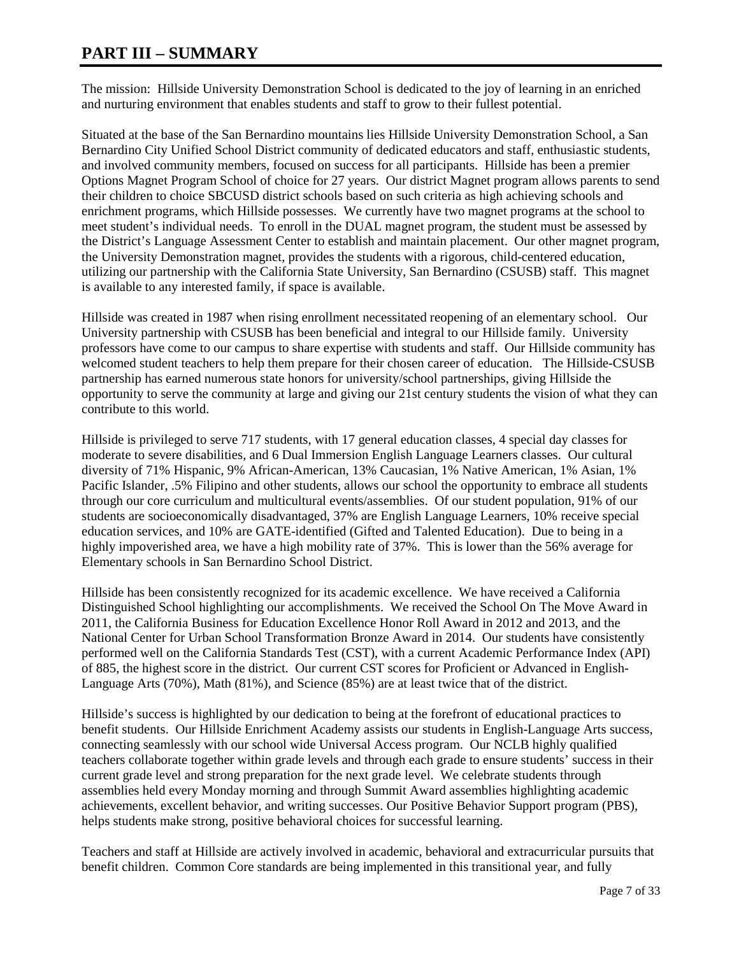### **PART III – SUMMARY**

The mission: Hillside University Demonstration School is dedicated to the joy of learning in an enriched and nurturing environment that enables students and staff to grow to their fullest potential.

Situated at the base of the San Bernardino mountains lies Hillside University Demonstration School, a San Bernardino City Unified School District community of dedicated educators and staff, enthusiastic students, and involved community members, focused on success for all participants. Hillside has been a premier Options Magnet Program School of choice for 27 years. Our district Magnet program allows parents to send their children to choice SBCUSD district schools based on such criteria as high achieving schools and enrichment programs, which Hillside possesses. We currently have two magnet programs at the school to meet student's individual needs. To enroll in the DUAL magnet program, the student must be assessed by the District's Language Assessment Center to establish and maintain placement. Our other magnet program, the University Demonstration magnet, provides the students with a rigorous, child-centered education, utilizing our partnership with the California State University, San Bernardino (CSUSB) staff. This magnet is available to any interested family, if space is available.

Hillside was created in 1987 when rising enrollment necessitated reopening of an elementary school. Our University partnership with CSUSB has been beneficial and integral to our Hillside family. University professors have come to our campus to share expertise with students and staff. Our Hillside community has welcomed student teachers to help them prepare for their chosen career of education. The Hillside-CSUSB partnership has earned numerous state honors for university/school partnerships, giving Hillside the opportunity to serve the community at large and giving our 21st century students the vision of what they can contribute to this world.

Hillside is privileged to serve 717 students, with 17 general education classes, 4 special day classes for moderate to severe disabilities, and 6 Dual Immersion English Language Learners classes. Our cultural diversity of 71% Hispanic, 9% African-American, 13% Caucasian, 1% Native American, 1% Asian, 1% Pacific Islander, .5% Filipino and other students, allows our school the opportunity to embrace all students through our core curriculum and multicultural events/assemblies. Of our student population, 91% of our students are socioeconomically disadvantaged, 37% are English Language Learners, 10% receive special education services, and 10% are GATE-identified (Gifted and Talented Education). Due to being in a highly impoverished area, we have a high mobility rate of 37%. This is lower than the 56% average for Elementary schools in San Bernardino School District.

Hillside has been consistently recognized for its academic excellence. We have received a California Distinguished School highlighting our accomplishments. We received the School On The Move Award in 2011, the California Business for Education Excellence Honor Roll Award in 2012 and 2013, and the National Center for Urban School Transformation Bronze Award in 2014. Our students have consistently performed well on the California Standards Test (CST), with a current Academic Performance Index (API) of 885, the highest score in the district. Our current CST scores for Proficient or Advanced in English-Language Arts (70%), Math (81%), and Science (85%) are at least twice that of the district.

Hillside's success is highlighted by our dedication to being at the forefront of educational practices to benefit students. Our Hillside Enrichment Academy assists our students in English-Language Arts success, connecting seamlessly with our school wide Universal Access program. Our NCLB highly qualified teachers collaborate together within grade levels and through each grade to ensure students' success in their current grade level and strong preparation for the next grade level. We celebrate students through assemblies held every Monday morning and through Summit Award assemblies highlighting academic achievements, excellent behavior, and writing successes. Our Positive Behavior Support program (PBS), helps students make strong, positive behavioral choices for successful learning.

Teachers and staff at Hillside are actively involved in academic, behavioral and extracurricular pursuits that benefit children. Common Core standards are being implemented in this transitional year, and fully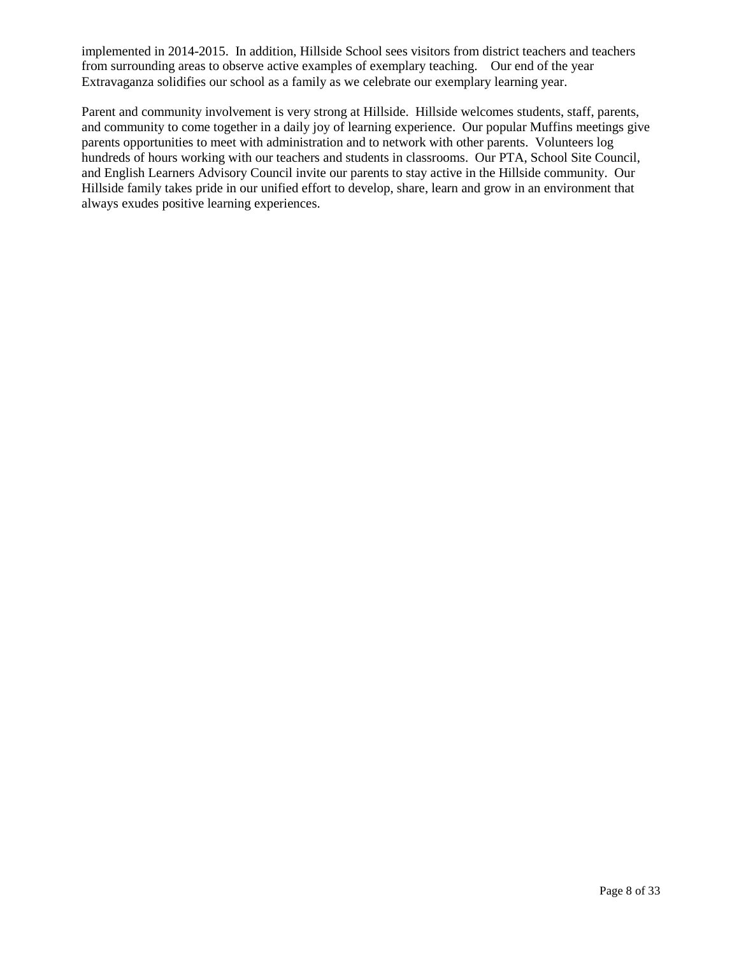implemented in 2014-2015. In addition, Hillside School sees visitors from district teachers and teachers from surrounding areas to observe active examples of exemplary teaching. Our end of the year Extravaganza solidifies our school as a family as we celebrate our exemplary learning year.

Parent and community involvement is very strong at Hillside. Hillside welcomes students, staff, parents, and community to come together in a daily joy of learning experience. Our popular Muffins meetings give parents opportunities to meet with administration and to network with other parents. Volunteers log hundreds of hours working with our teachers and students in classrooms. Our PTA, School Site Council, and English Learners Advisory Council invite our parents to stay active in the Hillside community. Our Hillside family takes pride in our unified effort to develop, share, learn and grow in an environment that always exudes positive learning experiences.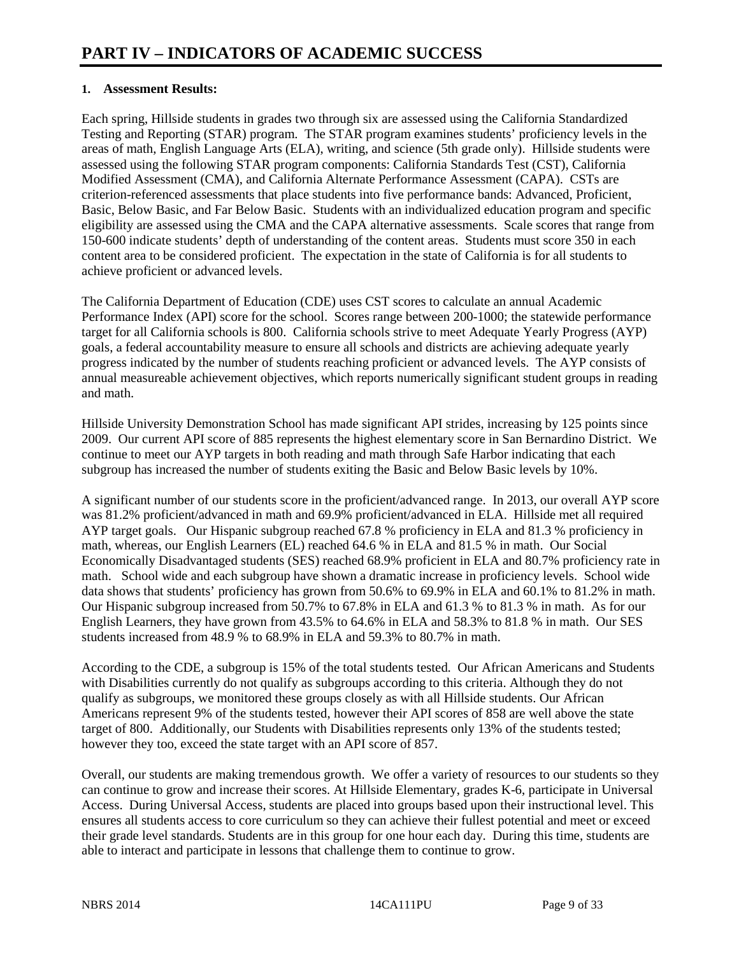### **1. Assessment Results:**

Each spring, Hillside students in grades two through six are assessed using the California Standardized Testing and Reporting (STAR) program. The STAR program examines students' proficiency levels in the areas of math, English Language Arts (ELA), writing, and science (5th grade only). Hillside students were assessed using the following STAR program components: California Standards Test (CST), California Modified Assessment (CMA), and California Alternate Performance Assessment (CAPA). CSTs are criterion-referenced assessments that place students into five performance bands: Advanced, Proficient, Basic, Below Basic, and Far Below Basic. Students with an individualized education program and specific eligibility are assessed using the CMA and the CAPA alternative assessments. Scale scores that range from 150-600 indicate students' depth of understanding of the content areas. Students must score 350 in each content area to be considered proficient. The expectation in the state of California is for all students to achieve proficient or advanced levels.

The California Department of Education (CDE) uses CST scores to calculate an annual Academic Performance Index (API) score for the school. Scores range between 200-1000; the statewide performance target for all California schools is 800. California schools strive to meet Adequate Yearly Progress (AYP) goals, a federal accountability measure to ensure all schools and districts are achieving adequate yearly progress indicated by the number of students reaching proficient or advanced levels. The AYP consists of annual measureable achievement objectives, which reports numerically significant student groups in reading and math.

Hillside University Demonstration School has made significant API strides, increasing by 125 points since 2009. Our current API score of 885 represents the highest elementary score in San Bernardino District. We continue to meet our AYP targets in both reading and math through Safe Harbor indicating that each subgroup has increased the number of students exiting the Basic and Below Basic levels by 10%.

A significant number of our students score in the proficient/advanced range. In 2013, our overall AYP score was 81.2% proficient/advanced in math and 69.9% proficient/advanced in ELA. Hillside met all required AYP target goals. Our Hispanic subgroup reached 67.8 % proficiency in ELA and 81.3 % proficiency in math, whereas, our English Learners (EL) reached 64.6 % in ELA and 81.5 % in math. Our Social Economically Disadvantaged students (SES) reached 68.9% proficient in ELA and 80.7% proficiency rate in math. School wide and each subgroup have shown a dramatic increase in proficiency levels. School wide data shows that students' proficiency has grown from 50.6% to 69.9% in ELA and 60.1% to 81.2% in math. Our Hispanic subgroup increased from 50.7% to 67.8% in ELA and 61.3 % to 81.3 % in math. As for our English Learners, they have grown from 43.5% to 64.6% in ELA and 58.3% to 81.8 % in math. Our SES students increased from 48.9 % to 68.9% in ELA and 59.3% to 80.7% in math.

According to the CDE, a subgroup is 15% of the total students tested. Our African Americans and Students with Disabilities currently do not qualify as subgroups according to this criteria. Although they do not qualify as subgroups, we monitored these groups closely as with all Hillside students. Our African Americans represent 9% of the students tested, however their API scores of 858 are well above the state target of 800. Additionally, our Students with Disabilities represents only 13% of the students tested; however they too, exceed the state target with an API score of 857.

Overall, our students are making tremendous growth. We offer a variety of resources to our students so they can continue to grow and increase their scores. At Hillside Elementary, grades K-6, participate in Universal Access. During Universal Access, students are placed into groups based upon their instructional level. This ensures all students access to core curriculum so they can achieve their fullest potential and meet or exceed their grade level standards. Students are in this group for one hour each day. During this time, students are able to interact and participate in lessons that challenge them to continue to grow.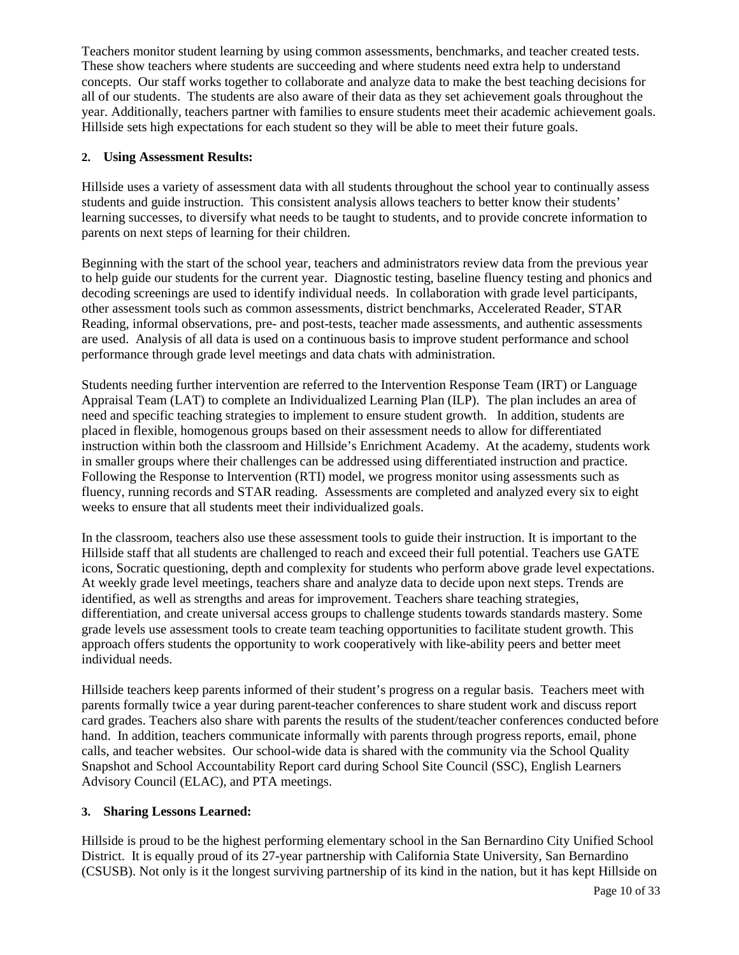Teachers monitor student learning by using common assessments, benchmarks, and teacher created tests. These show teachers where students are succeeding and where students need extra help to understand concepts. Our staff works together to collaborate and analyze data to make the best teaching decisions for all of our students. The students are also aware of their data as they set achievement goals throughout the year. Additionally, teachers partner with families to ensure students meet their academic achievement goals. Hillside sets high expectations for each student so they will be able to meet their future goals.

### **2. Using Assessment Results:**

Hillside uses a variety of assessment data with all students throughout the school year to continually assess students and guide instruction. This consistent analysis allows teachers to better know their students' learning successes, to diversify what needs to be taught to students, and to provide concrete information to parents on next steps of learning for their children.

Beginning with the start of the school year, teachers and administrators review data from the previous year to help guide our students for the current year. Diagnostic testing, baseline fluency testing and phonics and decoding screenings are used to identify individual needs. In collaboration with grade level participants, other assessment tools such as common assessments, district benchmarks, Accelerated Reader, STAR Reading, informal observations, pre- and post-tests, teacher made assessments, and authentic assessments are used. Analysis of all data is used on a continuous basis to improve student performance and school performance through grade level meetings and data chats with administration.

Students needing further intervention are referred to the Intervention Response Team (IRT) or Language Appraisal Team (LAT) to complete an Individualized Learning Plan (ILP). The plan includes an area of need and specific teaching strategies to implement to ensure student growth. In addition, students are placed in flexible, homogenous groups based on their assessment needs to allow for differentiated instruction within both the classroom and Hillside's Enrichment Academy. At the academy, students work in smaller groups where their challenges can be addressed using differentiated instruction and practice. Following the Response to Intervention (RTI) model, we progress monitor using assessments such as fluency, running records and STAR reading. Assessments are completed and analyzed every six to eight weeks to ensure that all students meet their individualized goals.

In the classroom, teachers also use these assessment tools to guide their instruction. It is important to the Hillside staff that all students are challenged to reach and exceed their full potential. Teachers use GATE icons, Socratic questioning, depth and complexity for students who perform above grade level expectations. At weekly grade level meetings, teachers share and analyze data to decide upon next steps. Trends are identified, as well as strengths and areas for improvement. Teachers share teaching strategies, differentiation, and create universal access groups to challenge students towards standards mastery. Some grade levels use assessment tools to create team teaching opportunities to facilitate student growth. This approach offers students the opportunity to work cooperatively with like-ability peers and better meet individual needs.

Hillside teachers keep parents informed of their student's progress on a regular basis. Teachers meet with parents formally twice a year during parent-teacher conferences to share student work and discuss report card grades. Teachers also share with parents the results of the student/teacher conferences conducted before hand. In addition, teachers communicate informally with parents through progress reports, email, phone calls, and teacher websites. Our school-wide data is shared with the community via the School Quality Snapshot and School Accountability Report card during School Site Council (SSC), English Learners Advisory Council (ELAC), and PTA meetings.

### **3. Sharing Lessons Learned:**

Hillside is proud to be the highest performing elementary school in the San Bernardino City Unified School District. It is equally proud of its 27-year partnership with California State University, San Bernardino (CSUSB). Not only is it the longest surviving partnership of its kind in the nation, but it has kept Hillside on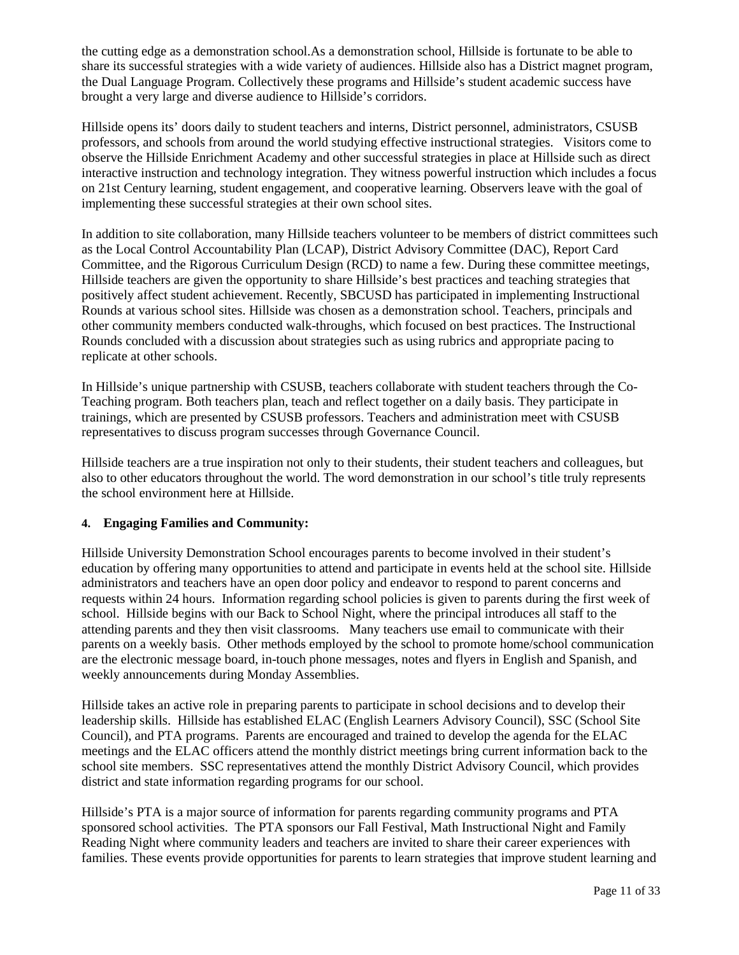the cutting edge as a demonstration school.As a demonstration school, Hillside is fortunate to be able to share its successful strategies with a wide variety of audiences. Hillside also has a District magnet program, the Dual Language Program. Collectively these programs and Hillside's student academic success have brought a very large and diverse audience to Hillside's corridors.

Hillside opens its' doors daily to student teachers and interns, District personnel, administrators, CSUSB professors, and schools from around the world studying effective instructional strategies. Visitors come to observe the Hillside Enrichment Academy and other successful strategies in place at Hillside such as direct interactive instruction and technology integration. They witness powerful instruction which includes a focus on 21st Century learning, student engagement, and cooperative learning. Observers leave with the goal of implementing these successful strategies at their own school sites.

In addition to site collaboration, many Hillside teachers volunteer to be members of district committees such as the Local Control Accountability Plan (LCAP), District Advisory Committee (DAC), Report Card Committee, and the Rigorous Curriculum Design (RCD) to name a few. During these committee meetings, Hillside teachers are given the opportunity to share Hillside's best practices and teaching strategies that positively affect student achievement. Recently, SBCUSD has participated in implementing Instructional Rounds at various school sites. Hillside was chosen as a demonstration school. Teachers, principals and other community members conducted walk-throughs, which focused on best practices. The Instructional Rounds concluded with a discussion about strategies such as using rubrics and appropriate pacing to replicate at other schools.

In Hillside's unique partnership with CSUSB, teachers collaborate with student teachers through the Co-Teaching program. Both teachers plan, teach and reflect together on a daily basis. They participate in trainings, which are presented by CSUSB professors. Teachers and administration meet with CSUSB representatives to discuss program successes through Governance Council.

Hillside teachers are a true inspiration not only to their students, their student teachers and colleagues, but also to other educators throughout the world. The word demonstration in our school's title truly represents the school environment here at Hillside.

### **4. Engaging Families and Community:**

Hillside University Demonstration School encourages parents to become involved in their student's education by offering many opportunities to attend and participate in events held at the school site. Hillside administrators and teachers have an open door policy and endeavor to respond to parent concerns and requests within 24 hours. Information regarding school policies is given to parents during the first week of school. Hillside begins with our Back to School Night, where the principal introduces all staff to the attending parents and they then visit classrooms. Many teachers use email to communicate with their parents on a weekly basis. Other methods employed by the school to promote home/school communication are the electronic message board, in-touch phone messages, notes and flyers in English and Spanish, and weekly announcements during Monday Assemblies.

Hillside takes an active role in preparing parents to participate in school decisions and to develop their leadership skills. Hillside has established ELAC (English Learners Advisory Council), SSC (School Site Council), and PTA programs. Parents are encouraged and trained to develop the agenda for the ELAC meetings and the ELAC officers attend the monthly district meetings bring current information back to the school site members. SSC representatives attend the monthly District Advisory Council, which provides district and state information regarding programs for our school.

Hillside's PTA is a major source of information for parents regarding community programs and PTA sponsored school activities. The PTA sponsors our Fall Festival, Math Instructional Night and Family Reading Night where community leaders and teachers are invited to share their career experiences with families. These events provide opportunities for parents to learn strategies that improve student learning and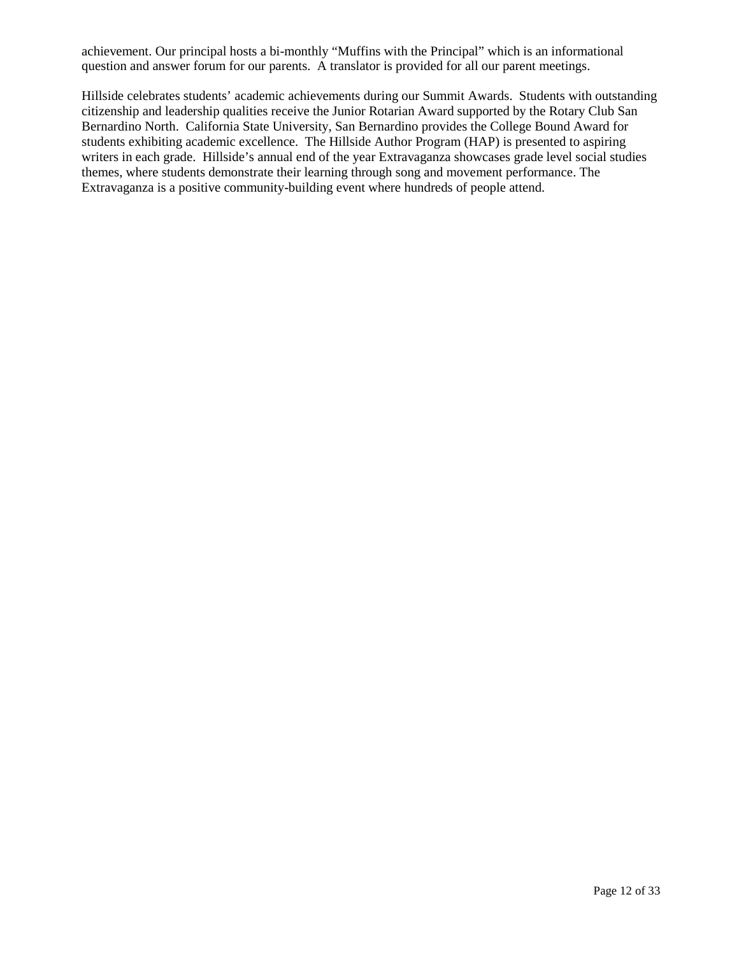achievement. Our principal hosts a bi-monthly "Muffins with the Principal" which is an informational question and answer forum for our parents. A translator is provided for all our parent meetings.

Hillside celebrates students' academic achievements during our Summit Awards. Students with outstanding citizenship and leadership qualities receive the Junior Rotarian Award supported by the Rotary Club San Bernardino North. California State University, San Bernardino provides the College Bound Award for students exhibiting academic excellence. The Hillside Author Program (HAP) is presented to aspiring writers in each grade. Hillside's annual end of the year Extravaganza showcases grade level social studies themes, where students demonstrate their learning through song and movement performance. The Extravaganza is a positive community-building event where hundreds of people attend.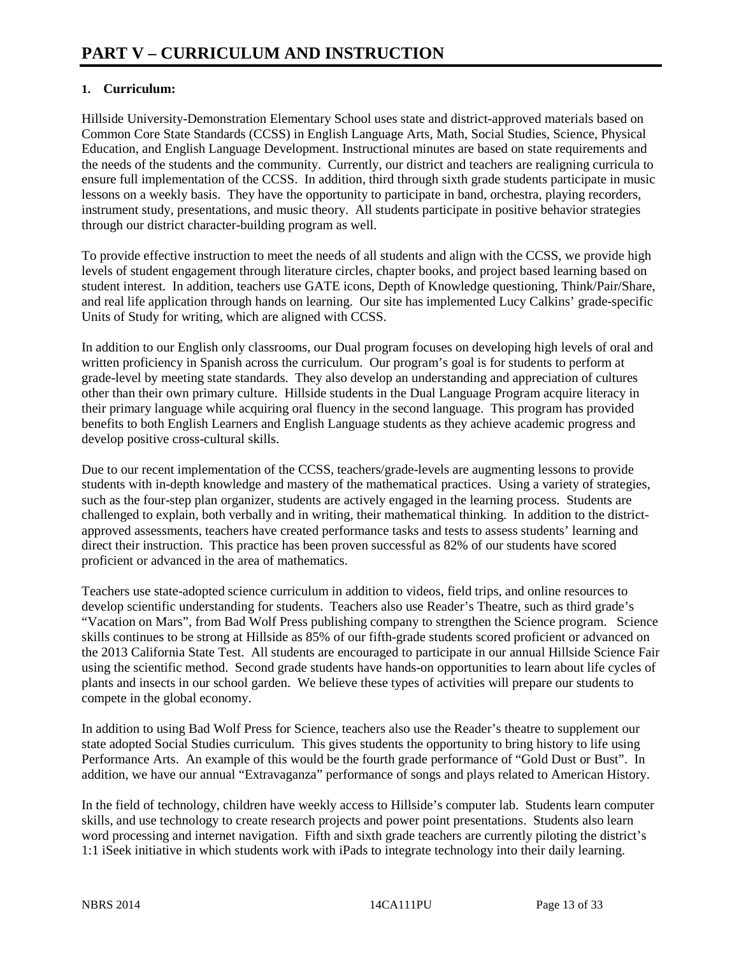### **1. Curriculum:**

Hillside University-Demonstration Elementary School uses state and district-approved materials based on Common Core State Standards (CCSS) in English Language Arts, Math, Social Studies, Science, Physical Education, and English Language Development. Instructional minutes are based on state requirements and the needs of the students and the community. Currently, our district and teachers are realigning curricula to ensure full implementation of the CCSS. In addition, third through sixth grade students participate in music lessons on a weekly basis. They have the opportunity to participate in band, orchestra, playing recorders, instrument study, presentations, and music theory. All students participate in positive behavior strategies through our district character-building program as well.

To provide effective instruction to meet the needs of all students and align with the CCSS, we provide high levels of student engagement through literature circles, chapter books, and project based learning based on student interest. In addition, teachers use GATE icons, Depth of Knowledge questioning, Think/Pair/Share, and real life application through hands on learning. Our site has implemented Lucy Calkins' grade-specific Units of Study for writing, which are aligned with CCSS.

In addition to our English only classrooms, our Dual program focuses on developing high levels of oral and written proficiency in Spanish across the curriculum. Our program's goal is for students to perform at grade-level by meeting state standards. They also develop an understanding and appreciation of cultures other than their own primary culture. Hillside students in the Dual Language Program acquire literacy in their primary language while acquiring oral fluency in the second language. This program has provided benefits to both English Learners and English Language students as they achieve academic progress and develop positive cross-cultural skills.

Due to our recent implementation of the CCSS, teachers/grade-levels are augmenting lessons to provide students with in-depth knowledge and mastery of the mathematical practices. Using a variety of strategies, such as the four-step plan organizer, students are actively engaged in the learning process. Students are challenged to explain, both verbally and in writing, their mathematical thinking. In addition to the districtapproved assessments, teachers have created performance tasks and tests to assess students' learning and direct their instruction. This practice has been proven successful as 82% of our students have scored proficient or advanced in the area of mathematics.

Teachers use state-adopted science curriculum in addition to videos, field trips, and online resources to develop scientific understanding for students. Teachers also use Reader's Theatre, such as third grade's "Vacation on Mars", from Bad Wolf Press publishing company to strengthen the Science program. Science skills continues to be strong at Hillside as 85% of our fifth-grade students scored proficient or advanced on the 2013 California State Test. All students are encouraged to participate in our annual Hillside Science Fair using the scientific method. Second grade students have hands-on opportunities to learn about life cycles of plants and insects in our school garden. We believe these types of activities will prepare our students to compete in the global economy.

In addition to using Bad Wolf Press for Science, teachers also use the Reader's theatre to supplement our state adopted Social Studies curriculum. This gives students the opportunity to bring history to life using Performance Arts. An example of this would be the fourth grade performance of "Gold Dust or Bust". In addition, we have our annual "Extravaganza" performance of songs and plays related to American History.

In the field of technology, children have weekly access to Hillside's computer lab. Students learn computer skills, and use technology to create research projects and power point presentations. Students also learn word processing and internet navigation. Fifth and sixth grade teachers are currently piloting the district's 1:1 iSeek initiative in which students work with iPads to integrate technology into their daily learning.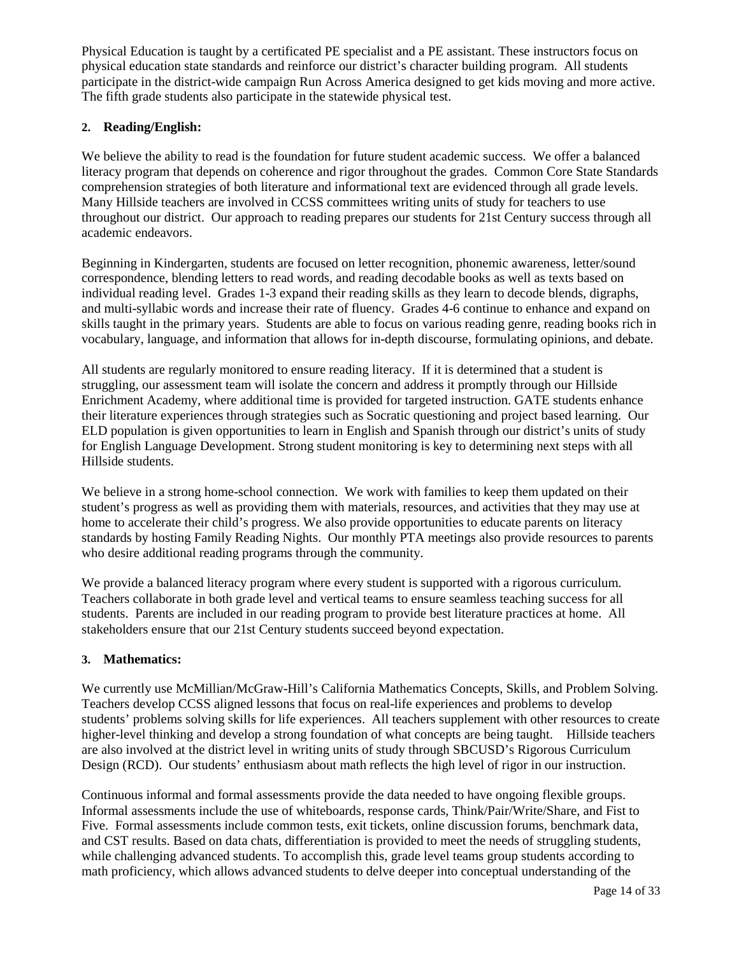Physical Education is taught by a certificated PE specialist and a PE assistant. These instructors focus on physical education state standards and reinforce our district's character building program. All students participate in the district-wide campaign Run Across America designed to get kids moving and more active. The fifth grade students also participate in the statewide physical test.

### **2. Reading/English:**

We believe the ability to read is the foundation for future student academic success. We offer a balanced literacy program that depends on coherence and rigor throughout the grades. Common Core State Standards comprehension strategies of both literature and informational text are evidenced through all grade levels. Many Hillside teachers are involved in CCSS committees writing units of study for teachers to use throughout our district. Our approach to reading prepares our students for 21st Century success through all academic endeavors.

Beginning in Kindergarten, students are focused on letter recognition, phonemic awareness, letter/sound correspondence, blending letters to read words, and reading decodable books as well as texts based on individual reading level. Grades 1-3 expand their reading skills as they learn to decode blends, digraphs, and multi-syllabic words and increase their rate of fluency. Grades 4-6 continue to enhance and expand on skills taught in the primary years. Students are able to focus on various reading genre, reading books rich in vocabulary, language, and information that allows for in-depth discourse, formulating opinions, and debate.

All students are regularly monitored to ensure reading literacy. If it is determined that a student is struggling, our assessment team will isolate the concern and address it promptly through our Hillside Enrichment Academy, where additional time is provided for targeted instruction. GATE students enhance their literature experiences through strategies such as Socratic questioning and project based learning. Our ELD population is given opportunities to learn in English and Spanish through our district's units of study for English Language Development. Strong student monitoring is key to determining next steps with all Hillside students.

We believe in a strong home-school connection. We work with families to keep them updated on their student's progress as well as providing them with materials, resources, and activities that they may use at home to accelerate their child's progress. We also provide opportunities to educate parents on literacy standards by hosting Family Reading Nights. Our monthly PTA meetings also provide resources to parents who desire additional reading programs through the community.

We provide a balanced literacy program where every student is supported with a rigorous curriculum. Teachers collaborate in both grade level and vertical teams to ensure seamless teaching success for all students. Parents are included in our reading program to provide best literature practices at home. All stakeholders ensure that our 21st Century students succeed beyond expectation.

### **3. Mathematics:**

We currently use McMillian/McGraw-Hill's California Mathematics Concepts, Skills, and Problem Solving. Teachers develop CCSS aligned lessons that focus on real-life experiences and problems to develop students' problems solving skills for life experiences. All teachers supplement with other resources to create higher-level thinking and develop a strong foundation of what concepts are being taught. Hillside teachers are also involved at the district level in writing units of study through SBCUSD's Rigorous Curriculum Design (RCD). Our students' enthusiasm about math reflects the high level of rigor in our instruction.

Continuous informal and formal assessments provide the data needed to have ongoing flexible groups. Informal assessments include the use of whiteboards, response cards, Think/Pair/Write/Share, and Fist to Five. Formal assessments include common tests, exit tickets, online discussion forums, benchmark data, and CST results. Based on data chats, differentiation is provided to meet the needs of struggling students, while challenging advanced students. To accomplish this, grade level teams group students according to math proficiency, which allows advanced students to delve deeper into conceptual understanding of the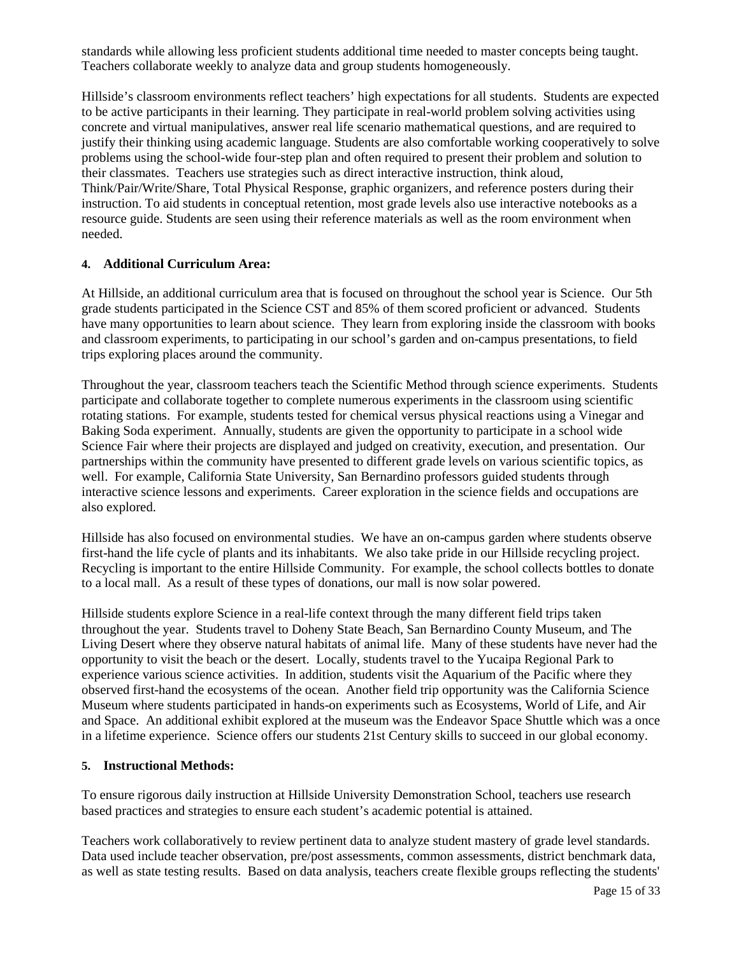standards while allowing less proficient students additional time needed to master concepts being taught. Teachers collaborate weekly to analyze data and group students homogeneously.

Hillside's classroom environments reflect teachers' high expectations for all students. Students are expected to be active participants in their learning. They participate in real-world problem solving activities using concrete and virtual manipulatives, answer real life scenario mathematical questions, and are required to justify their thinking using academic language. Students are also comfortable working cooperatively to solve problems using the school-wide four-step plan and often required to present their problem and solution to their classmates. Teachers use strategies such as direct interactive instruction, think aloud, Think/Pair/Write/Share, Total Physical Response, graphic organizers, and reference posters during their instruction. To aid students in conceptual retention, most grade levels also use interactive notebooks as a resource guide. Students are seen using their reference materials as well as the room environment when needed.

### **4. Additional Curriculum Area:**

At Hillside, an additional curriculum area that is focused on throughout the school year is Science. Our 5th grade students participated in the Science CST and 85% of them scored proficient or advanced. Students have many opportunities to learn about science. They learn from exploring inside the classroom with books and classroom experiments, to participating in our school's garden and on-campus presentations, to field trips exploring places around the community.

Throughout the year, classroom teachers teach the Scientific Method through science experiments. Students participate and collaborate together to complete numerous experiments in the classroom using scientific rotating stations. For example, students tested for chemical versus physical reactions using a Vinegar and Baking Soda experiment. Annually, students are given the opportunity to participate in a school wide Science Fair where their projects are displayed and judged on creativity, execution, and presentation. Our partnerships within the community have presented to different grade levels on various scientific topics, as well. For example, California State University, San Bernardino professors guided students through interactive science lessons and experiments. Career exploration in the science fields and occupations are also explored.

Hillside has also focused on environmental studies. We have an on-campus garden where students observe first-hand the life cycle of plants and its inhabitants. We also take pride in our Hillside recycling project. Recycling is important to the entire Hillside Community. For example, the school collects bottles to donate to a local mall. As a result of these types of donations, our mall is now solar powered.

Hillside students explore Science in a real-life context through the many different field trips taken throughout the year. Students travel to Doheny State Beach, San Bernardino County Museum, and The Living Desert where they observe natural habitats of animal life. Many of these students have never had the opportunity to visit the beach or the desert. Locally, students travel to the Yucaipa Regional Park to experience various science activities. In addition, students visit the Aquarium of the Pacific where they observed first-hand the ecosystems of the ocean. Another field trip opportunity was the California Science Museum where students participated in hands-on experiments such as Ecosystems, World of Life, and Air and Space. An additional exhibit explored at the museum was the Endeavor Space Shuttle which was a once in a lifetime experience. Science offers our students 21st Century skills to succeed in our global economy.

### **5. Instructional Methods:**

To ensure rigorous daily instruction at Hillside University Demonstration School, teachers use research based practices and strategies to ensure each student's academic potential is attained.

Teachers work collaboratively to review pertinent data to analyze student mastery of grade level standards. Data used include teacher observation, pre/post assessments, common assessments, district benchmark data, as well as state testing results. Based on data analysis, teachers create flexible groups reflecting the students'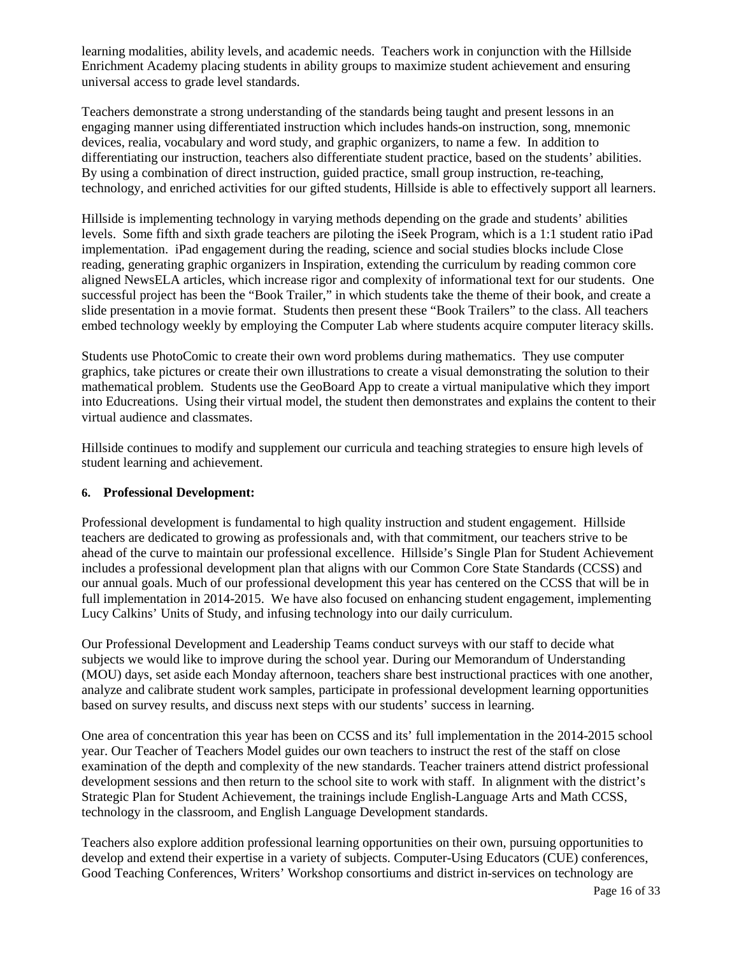learning modalities, ability levels, and academic needs. Teachers work in conjunction with the Hillside Enrichment Academy placing students in ability groups to maximize student achievement and ensuring universal access to grade level standards.

Teachers demonstrate a strong understanding of the standards being taught and present lessons in an engaging manner using differentiated instruction which includes hands-on instruction, song, mnemonic devices, realia, vocabulary and word study, and graphic organizers, to name a few. In addition to differentiating our instruction, teachers also differentiate student practice, based on the students' abilities. By using a combination of direct instruction, guided practice, small group instruction, re-teaching, technology, and enriched activities for our gifted students, Hillside is able to effectively support all learners.

Hillside is implementing technology in varying methods depending on the grade and students' abilities levels. Some fifth and sixth grade teachers are piloting the iSeek Program, which is a 1:1 student ratio iPad implementation. iPad engagement during the reading, science and social studies blocks include Close reading, generating graphic organizers in Inspiration, extending the curriculum by reading common core aligned NewsELA articles, which increase rigor and complexity of informational text for our students. One successful project has been the "Book Trailer," in which students take the theme of their book, and create a slide presentation in a movie format. Students then present these "Book Trailers" to the class. All teachers embed technology weekly by employing the Computer Lab where students acquire computer literacy skills.

Students use PhotoComic to create their own word problems during mathematics. They use computer graphics, take pictures or create their own illustrations to create a visual demonstrating the solution to their mathematical problem. Students use the GeoBoard App to create a virtual manipulative which they import into Educreations. Using their virtual model, the student then demonstrates and explains the content to their virtual audience and classmates.

Hillside continues to modify and supplement our curricula and teaching strategies to ensure high levels of student learning and achievement.

### **6. Professional Development:**

Professional development is fundamental to high quality instruction and student engagement. Hillside teachers are dedicated to growing as professionals and, with that commitment, our teachers strive to be ahead of the curve to maintain our professional excellence. Hillside's Single Plan for Student Achievement includes a professional development plan that aligns with our Common Core State Standards (CCSS) and our annual goals. Much of our professional development this year has centered on the CCSS that will be in full implementation in 2014-2015. We have also focused on enhancing student engagement, implementing Lucy Calkins' Units of Study, and infusing technology into our daily curriculum.

Our Professional Development and Leadership Teams conduct surveys with our staff to decide what subjects we would like to improve during the school year. During our Memorandum of Understanding (MOU) days, set aside each Monday afternoon, teachers share best instructional practices with one another, analyze and calibrate student work samples, participate in professional development learning opportunities based on survey results, and discuss next steps with our students' success in learning.

One area of concentration this year has been on CCSS and its' full implementation in the 2014-2015 school year. Our Teacher of Teachers Model guides our own teachers to instruct the rest of the staff on close examination of the depth and complexity of the new standards. Teacher trainers attend district professional development sessions and then return to the school site to work with staff. In alignment with the district's Strategic Plan for Student Achievement, the trainings include English-Language Arts and Math CCSS, technology in the classroom, and English Language Development standards.

Teachers also explore addition professional learning opportunities on their own, pursuing opportunities to develop and extend their expertise in a variety of subjects. Computer-Using Educators (CUE) conferences, Good Teaching Conferences, Writers' Workshop consortiums and district in-services on technology are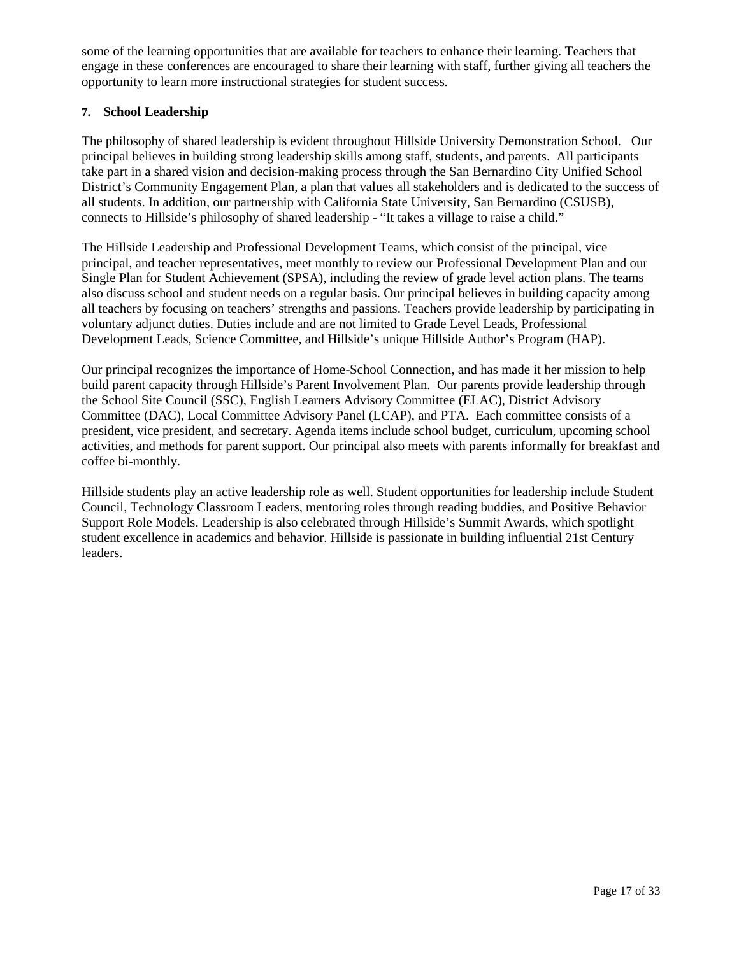some of the learning opportunities that are available for teachers to enhance their learning. Teachers that engage in these conferences are encouraged to share their learning with staff, further giving all teachers the opportunity to learn more instructional strategies for student success.

### **7. School Leadership**

The philosophy of shared leadership is evident throughout Hillside University Demonstration School. Our principal believes in building strong leadership skills among staff, students, and parents. All participants take part in a shared vision and decision-making process through the San Bernardino City Unified School District's Community Engagement Plan, a plan that values all stakeholders and is dedicated to the success of all students. In addition, our partnership with California State University, San Bernardino (CSUSB), connects to Hillside's philosophy of shared leadership - "It takes a village to raise a child."

The Hillside Leadership and Professional Development Teams, which consist of the principal, vice principal, and teacher representatives, meet monthly to review our Professional Development Plan and our Single Plan for Student Achievement (SPSA), including the review of grade level action plans. The teams also discuss school and student needs on a regular basis. Our principal believes in building capacity among all teachers by focusing on teachers' strengths and passions. Teachers provide leadership by participating in voluntary adjunct duties. Duties include and are not limited to Grade Level Leads, Professional Development Leads, Science Committee, and Hillside's unique Hillside Author's Program (HAP).

Our principal recognizes the importance of Home-School Connection, and has made it her mission to help build parent capacity through Hillside's Parent Involvement Plan. Our parents provide leadership through the School Site Council (SSC), English Learners Advisory Committee (ELAC), District Advisory Committee (DAC), Local Committee Advisory Panel (LCAP), and PTA. Each committee consists of a president, vice president, and secretary. Agenda items include school budget, curriculum, upcoming school activities, and methods for parent support. Our principal also meets with parents informally for breakfast and coffee bi-monthly.

Hillside students play an active leadership role as well. Student opportunities for leadership include Student Council, Technology Classroom Leaders, mentoring roles through reading buddies, and Positive Behavior Support Role Models. Leadership is also celebrated through Hillside's Summit Awards, which spotlight student excellence in academics and behavior. Hillside is passionate in building influential 21st Century leaders.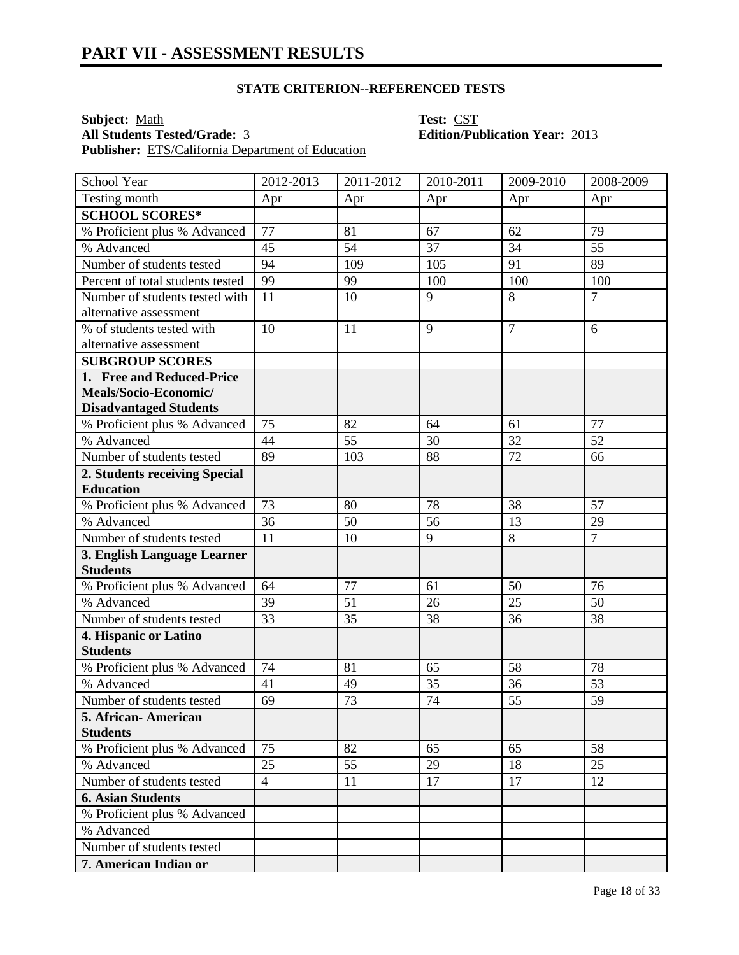**Subject:** <u>Math</u> **Test:** <u>CST</u><br> **All Students Tested/Grade:** 3 **COVID-Edition/Pull COVID-Edition Publisher:** ETS/California Department of Education

# **All Students Tested/Grade:** 3 **Edition/Publication Year:** 2013

| School Year                      | 2012-2013      | 2011-2012 | 2010-2011 | 2009-2010      | 2008-2009      |
|----------------------------------|----------------|-----------|-----------|----------------|----------------|
| Testing month                    | Apr            | Apr       | Apr       | Apr            | Apr            |
| <b>SCHOOL SCORES*</b>            |                |           |           |                |                |
| % Proficient plus % Advanced     | 77             | 81        | 67        | 62             | 79             |
| % Advanced                       | 45             | 54        | 37        | 34             | 55             |
| Number of students tested        | 94             | 109       | 105       | 91             | 89             |
| Percent of total students tested | 99             | 99        | 100       | 100            | 100            |
| Number of students tested with   | 11             | 10        | 9         | 8              | $\overline{7}$ |
| alternative assessment           |                |           |           |                |                |
| % of students tested with        | 10             | 11        | 9         | $\overline{7}$ | 6              |
| alternative assessment           |                |           |           |                |                |
| <b>SUBGROUP SCORES</b>           |                |           |           |                |                |
| 1. Free and Reduced-Price        |                |           |           |                |                |
| Meals/Socio-Economic/            |                |           |           |                |                |
| <b>Disadvantaged Students</b>    |                |           |           |                |                |
| % Proficient plus % Advanced     | 75             | 82        | 64        | 61             | 77             |
| % Advanced                       | 44             | 55        | 30        | 32             | 52             |
| Number of students tested        | 89             | 103       | 88        | 72             | 66             |
| 2. Students receiving Special    |                |           |           |                |                |
| <b>Education</b>                 |                |           |           |                |                |
| % Proficient plus % Advanced     | 73             | 80        | 78        | 38             | 57             |
| % Advanced                       | 36             | 50        | 56        | 13             | 29             |
| Number of students tested        | 11             | 10        | 9         | 8              | $\overline{7}$ |
| 3. English Language Learner      |                |           |           |                |                |
| <b>Students</b>                  |                |           |           |                |                |
| % Proficient plus % Advanced     | 64             | 77        | 61        | 50             | 76             |
| % Advanced                       | 39             | 51        | 26        | 25             | 50             |
| Number of students tested        | 33             | 35        | 38        | 36             | 38             |
| 4. Hispanic or Latino            |                |           |           |                |                |
| <b>Students</b>                  |                |           |           |                |                |
| % Proficient plus % Advanced     | 74             | 81        | 65        | 58             | 78             |
| % Advanced                       | 41             | 49        | 35        | 36             | 53             |
| Number of students tested        | 69             | 73        | 74        | 55             | 59             |
| 5. African-American              |                |           |           |                |                |
| <b>Students</b>                  |                |           |           |                |                |
| % Proficient plus % Advanced     | 75             | 82        | 65        | 65             | 58             |
| % Advanced                       | 25             | 55        | 29        | 18             | 25             |
| Number of students tested        | $\overline{4}$ | 11        | 17        | 17             | 12             |
| <b>6. Asian Students</b>         |                |           |           |                |                |
| % Proficient plus % Advanced     |                |           |           |                |                |
| % Advanced                       |                |           |           |                |                |
| Number of students tested        |                |           |           |                |                |
| 7. American Indian or            |                |           |           |                |                |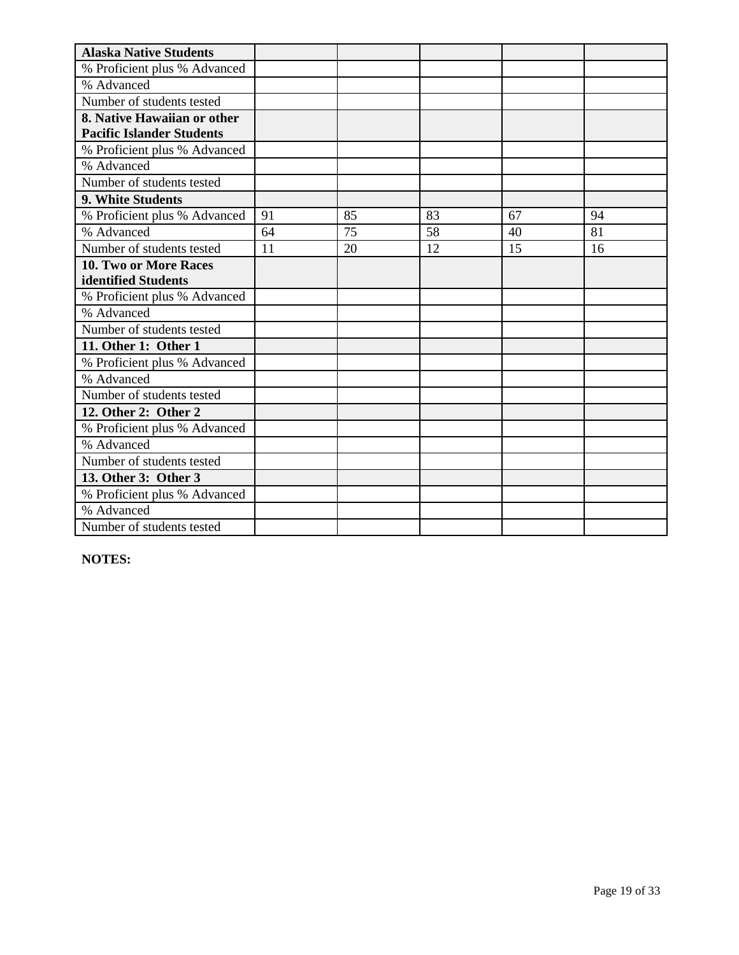| <b>Alaska Native Students</b>    |    |    |    |    |    |
|----------------------------------|----|----|----|----|----|
| % Proficient plus % Advanced     |    |    |    |    |    |
| % Advanced                       |    |    |    |    |    |
| Number of students tested        |    |    |    |    |    |
| 8. Native Hawaiian or other      |    |    |    |    |    |
| <b>Pacific Islander Students</b> |    |    |    |    |    |
| % Proficient plus % Advanced     |    |    |    |    |    |
| % Advanced                       |    |    |    |    |    |
| Number of students tested        |    |    |    |    |    |
| 9. White Students                |    |    |    |    |    |
| % Proficient plus % Advanced     | 91 | 85 | 83 | 67 | 94 |
| % Advanced                       | 64 | 75 | 58 | 40 | 81 |
| Number of students tested        | 11 | 20 | 12 | 15 | 16 |
| <b>10. Two or More Races</b>     |    |    |    |    |    |
| identified Students              |    |    |    |    |    |
| % Proficient plus % Advanced     |    |    |    |    |    |
| % Advanced                       |    |    |    |    |    |
| Number of students tested        |    |    |    |    |    |
| 11. Other 1: Other 1             |    |    |    |    |    |
| % Proficient plus % Advanced     |    |    |    |    |    |
| % Advanced                       |    |    |    |    |    |
| Number of students tested        |    |    |    |    |    |
| 12. Other 2: Other 2             |    |    |    |    |    |
| % Proficient plus % Advanced     |    |    |    |    |    |
| % Advanced                       |    |    |    |    |    |
| Number of students tested        |    |    |    |    |    |
| 13. Other 3: Other 3             |    |    |    |    |    |
| % Proficient plus % Advanced     |    |    |    |    |    |
| % Advanced                       |    |    |    |    |    |
| Number of students tested        |    |    |    |    |    |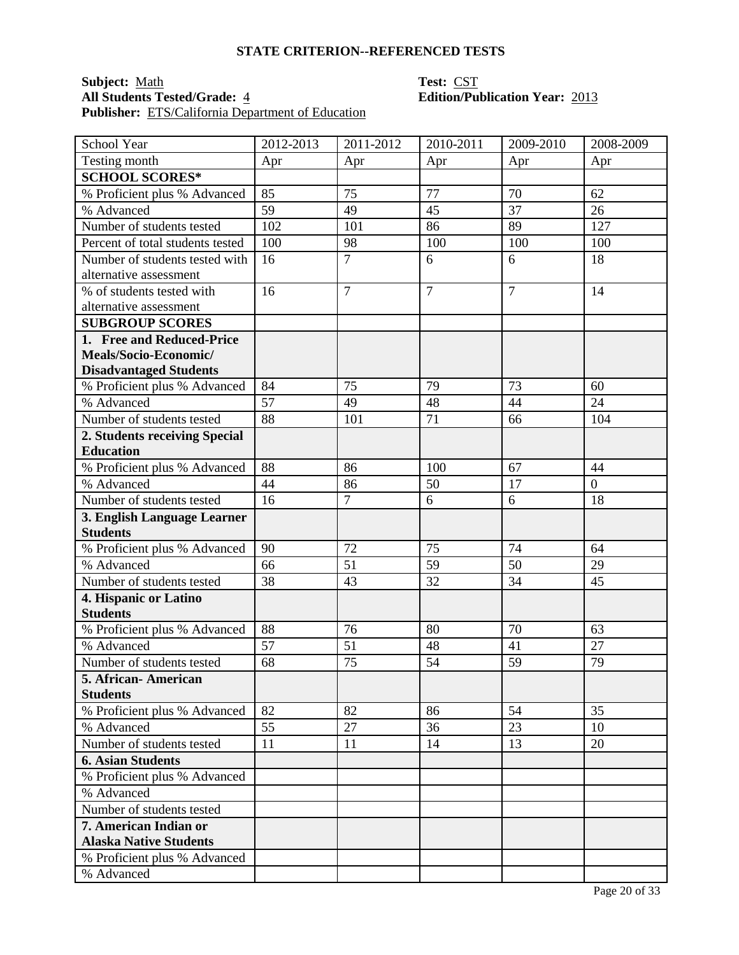## **Subject:** <u>Math</u> **Test:** <u>CST</u><br> **All Students Tested/Grade:** 4 **COVID-EDITED: COVID-EDITED: COVID-EDITED: COVID-EDITED: COVID-EDITED: Publisher:** ETS/California Department of Education

# **All Students Tested/Grade:** 4 **Edition/Publication Year:** 2013

| School Year                              | 2012-2013 | 2011-2012       | 2010-2011      | 2009-2010      | 2008-2009      |
|------------------------------------------|-----------|-----------------|----------------|----------------|----------------|
| Testing month                            | Apr       | Apr             | Apr            | Apr            | Apr            |
| <b>SCHOOL SCORES*</b>                    |           |                 |                |                |                |
| % Proficient plus % Advanced             | 85        | 75              | 77             | 70             | 62             |
| % Advanced                               | 59        | 49              | 45             | 37             | 26             |
| Number of students tested                | 102       | 101             | 86             | 89             | 127            |
| Percent of total students tested         | 100       | 98              | 100            | 100            | 100            |
| Number of students tested with           | 16        | $\overline{7}$  | 6              | 6              | 18             |
| alternative assessment                   |           |                 |                |                |                |
| % of students tested with                | 16        | $\overline{7}$  | $\overline{7}$ | $\overline{7}$ | 14             |
| alternative assessment                   |           |                 |                |                |                |
| <b>SUBGROUP SCORES</b>                   |           |                 |                |                |                |
| 1. Free and Reduced-Price                |           |                 |                |                |                |
| Meals/Socio-Economic/                    |           |                 |                |                |                |
| <b>Disadvantaged Students</b>            |           |                 |                |                |                |
| % Proficient plus % Advanced             | 84        | 75              | 79             | 73             | 60             |
| % Advanced                               | 57        | 49              | 48             | 44             | 24             |
| Number of students tested                | 88        | 101             | 71             | 66             | 104            |
| 2. Students receiving Special            |           |                 |                |                |                |
| <b>Education</b>                         |           |                 |                |                |                |
| % Proficient plus % Advanced             | 88        | 86              | 100            | 67             | 44             |
| % Advanced                               | 44        | 86              | 50             | 17             | $\overline{0}$ |
| Number of students tested                | 16        | $\overline{7}$  | 6              | 6              | 18             |
| 3. English Language Learner              |           |                 |                |                |                |
| <b>Students</b>                          |           |                 |                |                |                |
| % Proficient plus % Advanced             | 90        | 72              | 75             | 74             | 64             |
| % Advanced                               | 66        | 51              | 59             | 50             | 29             |
| Number of students tested                | 38        | 43              | 32             | 34             | 45             |
| 4. Hispanic or Latino<br><b>Students</b> |           |                 |                |                |                |
| % Proficient plus % Advanced             | 88        | 76              | 80             | 70             | 63             |
| % Advanced                               | 57        | 51              | 48             | 41             | 27             |
| Number of students tested                | 68        | $\overline{75}$ | 54             | 59             | 79             |
|                                          |           |                 |                |                |                |
| 5. African - American<br><b>Students</b> |           |                 |                |                |                |
| % Proficient plus % Advanced             | 82        | 82              | 86             | 54             | 35             |
| % Advanced                               | 55        | 27              | 36             | 23             | 10             |
| Number of students tested                | 11        | 11              | 14             | 13             | 20             |
| <b>6. Asian Students</b>                 |           |                 |                |                |                |
| % Proficient plus % Advanced             |           |                 |                |                |                |
| % Advanced                               |           |                 |                |                |                |
| Number of students tested                |           |                 |                |                |                |
| 7. American Indian or                    |           |                 |                |                |                |
| <b>Alaska Native Students</b>            |           |                 |                |                |                |
| % Proficient plus % Advanced             |           |                 |                |                |                |
| % Advanced                               |           |                 |                |                |                |
|                                          |           |                 |                |                |                |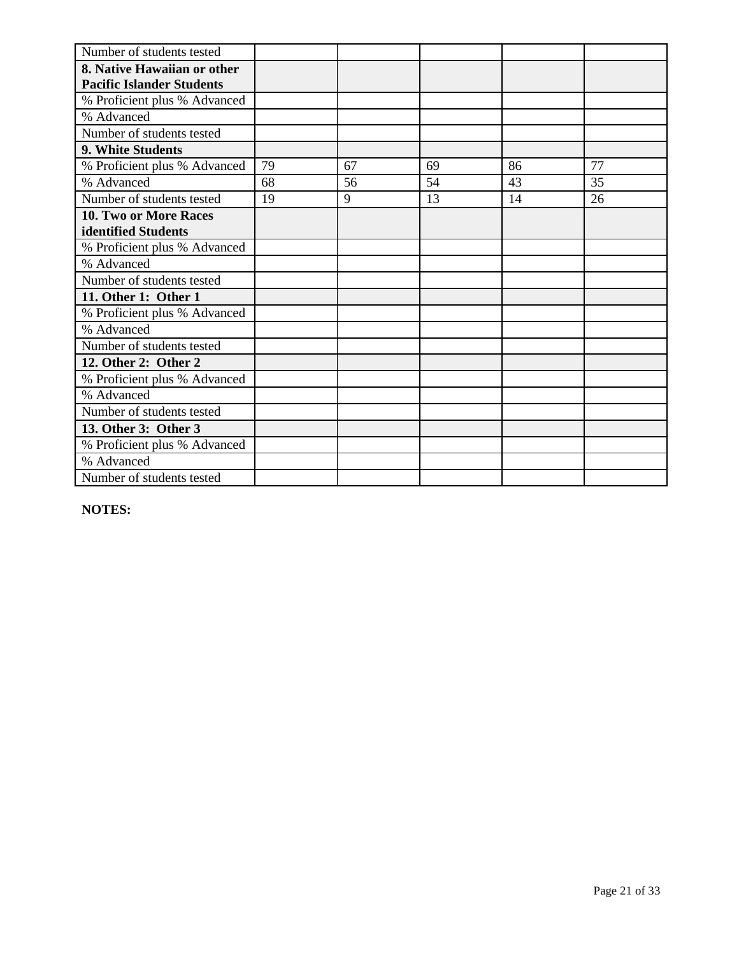| Number of students tested        |    |    |    |    |    |
|----------------------------------|----|----|----|----|----|
| 8. Native Hawaiian or other      |    |    |    |    |    |
| <b>Pacific Islander Students</b> |    |    |    |    |    |
| % Proficient plus % Advanced     |    |    |    |    |    |
| % Advanced                       |    |    |    |    |    |
| Number of students tested        |    |    |    |    |    |
| 9. White Students                |    |    |    |    |    |
| % Proficient plus % Advanced     | 79 | 67 | 69 | 86 | 77 |
| % Advanced                       | 68 | 56 | 54 | 43 | 35 |
| Number of students tested        | 19 | 9  | 13 | 14 | 26 |
| <b>10. Two or More Races</b>     |    |    |    |    |    |
| identified Students              |    |    |    |    |    |
| % Proficient plus % Advanced     |    |    |    |    |    |
| % Advanced                       |    |    |    |    |    |
| Number of students tested        |    |    |    |    |    |
| 11. Other 1: Other 1             |    |    |    |    |    |
| % Proficient plus % Advanced     |    |    |    |    |    |
| % Advanced                       |    |    |    |    |    |
| Number of students tested        |    |    |    |    |    |
| 12. Other 2: Other 2             |    |    |    |    |    |
| % Proficient plus % Advanced     |    |    |    |    |    |
| % Advanced                       |    |    |    |    |    |
| Number of students tested        |    |    |    |    |    |
| 13. Other 3: Other 3             |    |    |    |    |    |
| % Proficient plus % Advanced     |    |    |    |    |    |
| % Advanced                       |    |    |    |    |    |
| Number of students tested        |    |    |    |    |    |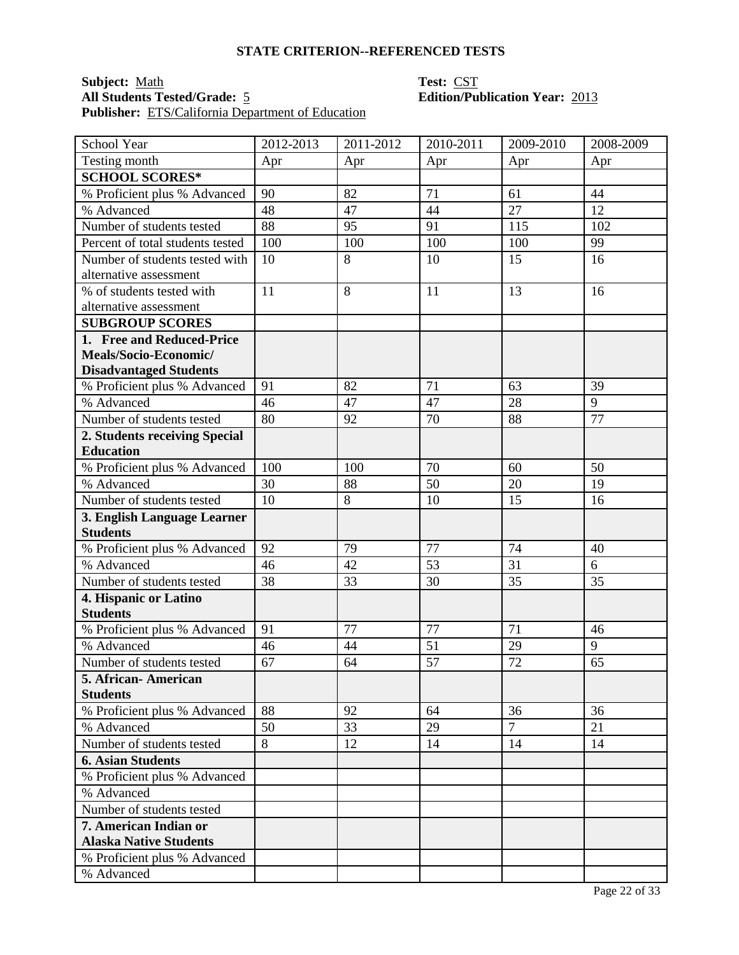### **Subject:** Math **Test:** CST **All Students Tested/Grade:** 5 **Edition/Publication Year:** 2013 **Publisher:** ETS/California Department of Education

| School Year                      | 2012-2013 | 2011-2012 | 2010-2011 | 2009-2010      | 2008-2009      |
|----------------------------------|-----------|-----------|-----------|----------------|----------------|
| Testing month                    | Apr       | Apr       | Apr       | Apr            | Apr            |
| <b>SCHOOL SCORES*</b>            |           |           |           |                |                |
| % Proficient plus % Advanced     | 90        | 82        | 71        | 61             | 44             |
| % Advanced                       | 48        | 47        | 44        | 27             | 12             |
| Number of students tested        | 88        | 95        | 91        | 115            | 102            |
| Percent of total students tested | 100       | 100       | 100       | 100            | 99             |
| Number of students tested with   | 10        | 8         | 10        | 15             | 16             |
| alternative assessment           |           |           |           |                |                |
| % of students tested with        | 11        | 8         | 11        | 13             | 16             |
| alternative assessment           |           |           |           |                |                |
| <b>SUBGROUP SCORES</b>           |           |           |           |                |                |
| 1. Free and Reduced-Price        |           |           |           |                |                |
| Meals/Socio-Economic/            |           |           |           |                |                |
| <b>Disadvantaged Students</b>    |           |           |           |                |                |
| % Proficient plus % Advanced     | 91        | 82        | 71        | 63             | 39             |
| % Advanced                       | 46        | 47        | 47        | 28             | $\overline{9}$ |
| Number of students tested        | 80        | 92        | 70        | 88             | 77             |
| 2. Students receiving Special    |           |           |           |                |                |
| <b>Education</b>                 |           |           |           |                |                |
| % Proficient plus % Advanced     | 100       | 100       | 70        | 60             | 50             |
| % Advanced                       | 30        | 88        | 50        | 20             | 19             |
| Number of students tested        | 10        | 8         | 10        | 15             | 16             |
| 3. English Language Learner      |           |           |           |                |                |
| <b>Students</b>                  |           |           |           |                |                |
| % Proficient plus % Advanced     | 92        | 79        | 77        | 74             | 40             |
| % Advanced                       | 46        | 42        | 53        | 31             | 6              |
| Number of students tested        | 38        | 33        | 30        | 35             | 35             |
| 4. Hispanic or Latino            |           |           |           |                |                |
| <b>Students</b>                  |           |           |           |                |                |
| % Proficient plus % Advanced     | 91        | 77        | 77        | 71             | 46             |
| % Advanced                       | 46        | 44        | 51        | 29             | 9              |
| Number of students tested        | 67        | 64        | 57        | 72             | 65             |
| 5. African- American             |           |           |           |                |                |
| <b>Students</b>                  |           |           |           |                |                |
| % Proficient plus % Advanced     | 88        | 92        | 64        | 36             | 36             |
| % Advanced                       | 50        | 33        | 29        | $\overline{7}$ | 21             |
| Number of students tested        | 8         | 12        | 14        | 14             | 14             |
| <b>6. Asian Students</b>         |           |           |           |                |                |
| % Proficient plus % Advanced     |           |           |           |                |                |
| % Advanced                       |           |           |           |                |                |
| Number of students tested        |           |           |           |                |                |
| 7. American Indian or            |           |           |           |                |                |
| <b>Alaska Native Students</b>    |           |           |           |                |                |
| % Proficient plus % Advanced     |           |           |           |                |                |
| % Advanced                       |           |           |           |                |                |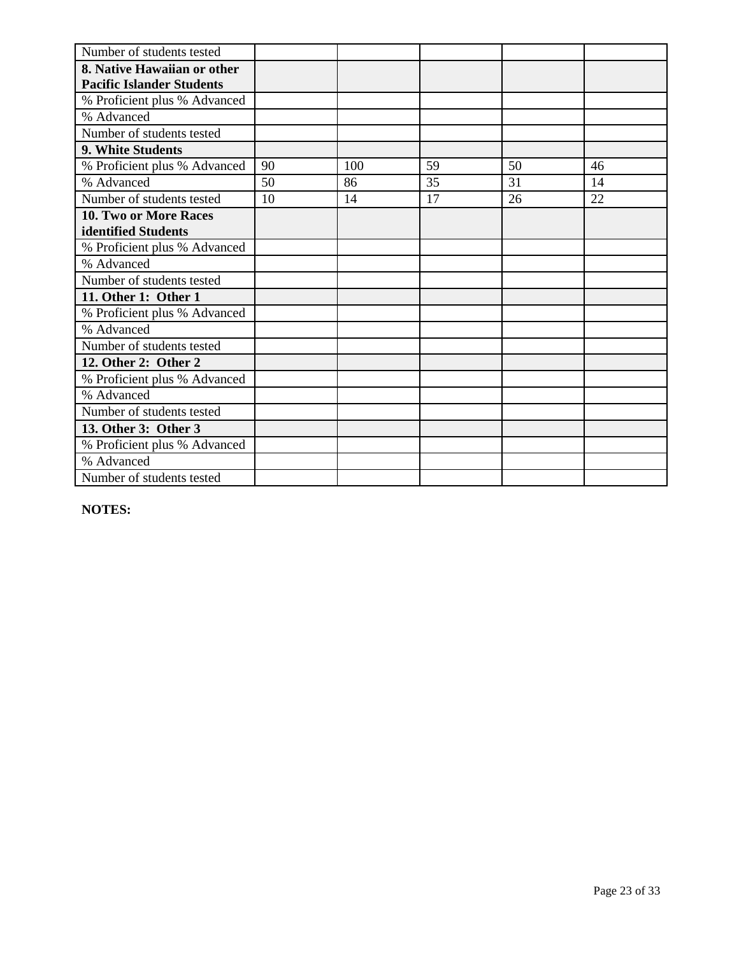| Number of students tested        |    |     |    |    |    |
|----------------------------------|----|-----|----|----|----|
| 8. Native Hawaiian or other      |    |     |    |    |    |
| <b>Pacific Islander Students</b> |    |     |    |    |    |
| % Proficient plus % Advanced     |    |     |    |    |    |
| % Advanced                       |    |     |    |    |    |
| Number of students tested        |    |     |    |    |    |
| 9. White Students                |    |     |    |    |    |
| % Proficient plus % Advanced     | 90 | 100 | 59 | 50 | 46 |
| % Advanced                       | 50 | 86  | 35 | 31 | 14 |
| Number of students tested        | 10 | 14  | 17 | 26 | 22 |
| <b>10. Two or More Races</b>     |    |     |    |    |    |
| identified Students              |    |     |    |    |    |
| % Proficient plus % Advanced     |    |     |    |    |    |
| % Advanced                       |    |     |    |    |    |
| Number of students tested        |    |     |    |    |    |
| 11. Other 1: Other 1             |    |     |    |    |    |
| % Proficient plus % Advanced     |    |     |    |    |    |
| % Advanced                       |    |     |    |    |    |
| Number of students tested        |    |     |    |    |    |
| 12. Other 2: Other 2             |    |     |    |    |    |
| % Proficient plus % Advanced     |    |     |    |    |    |
| % Advanced                       |    |     |    |    |    |
| Number of students tested        |    |     |    |    |    |
| 13. Other 3: Other 3             |    |     |    |    |    |
| % Proficient plus % Advanced     |    |     |    |    |    |
| % Advanced                       |    |     |    |    |    |
| Number of students tested        |    |     |    |    |    |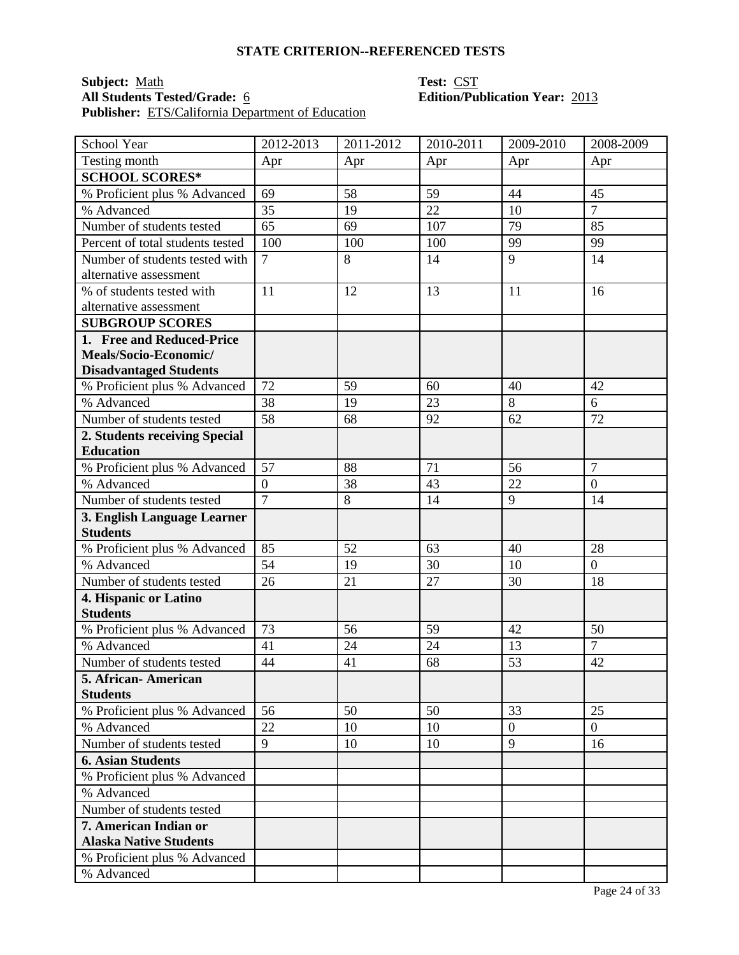### **Subject:** Math **Test:** CST **All Students Tested/Grade:** 6 **Edition/Publication Year:** 2013 **Publisher:** ETS/California Department of Education

| School Year                      | 2012-2013        | 2011-2012 | 2010-2011 | 2009-2010      | 2008-2009        |
|----------------------------------|------------------|-----------|-----------|----------------|------------------|
| Testing month                    | Apr              | Apr       | Apr       | Apr            | Apr              |
| <b>SCHOOL SCORES*</b>            |                  |           |           |                |                  |
| % Proficient plus % Advanced     | 69               | 58        | 59        | 44             | 45               |
| % Advanced                       | 35               | 19        | 22        | 10             | $\overline{7}$   |
| Number of students tested        | 65               | 69        | 107       | 79             | 85               |
| Percent of total students tested | 100              | 100       | 100       | 99             | 99               |
| Number of students tested with   | $\overline{7}$   | 8         | 14        | 9              | 14               |
| alternative assessment           |                  |           |           |                |                  |
| % of students tested with        | 11               | 12        | 13        | 11             | 16               |
| alternative assessment           |                  |           |           |                |                  |
| <b>SUBGROUP SCORES</b>           |                  |           |           |                |                  |
| 1. Free and Reduced-Price        |                  |           |           |                |                  |
| Meals/Socio-Economic/            |                  |           |           |                |                  |
| <b>Disadvantaged Students</b>    |                  |           |           |                |                  |
| % Proficient plus % Advanced     | 72               | 59        | 60        | 40             | 42               |
| % Advanced                       | 38               | 19        | 23        | $\overline{8}$ | 6                |
| Number of students tested        | 58               | 68        | 92        | 62             | 72               |
| 2. Students receiving Special    |                  |           |           |                |                  |
| <b>Education</b>                 |                  |           |           |                |                  |
| % Proficient plus % Advanced     | 57               | 88        | 71        | 56             | $\overline{7}$   |
| % Advanced                       | $\boldsymbol{0}$ | 38        | 43        | 22             | $\boldsymbol{0}$ |
| Number of students tested        | $\overline{7}$   | 8         | 14        | 9              | 14               |
| 3. English Language Learner      |                  |           |           |                |                  |
| <b>Students</b>                  |                  |           |           |                |                  |
| % Proficient plus % Advanced     | 85               | 52        | 63        | 40             | 28               |
| % Advanced                       | 54               | 19        | 30        | 10             | $\overline{0}$   |
| Number of students tested        | 26               | 21        | 27        | 30             | 18               |
| 4. Hispanic or Latino            |                  |           |           |                |                  |
| <b>Students</b>                  |                  |           |           |                |                  |
| % Proficient plus % Advanced     | 73               | 56        | 59        | 42             | 50               |
| % Advanced                       | 41               | 24        | 24        | 13             | $\overline{7}$   |
| Number of students tested        | 44               | 41        | 68        | 53             | 42               |
| 5. African- American             |                  |           |           |                |                  |
| <b>Students</b>                  |                  |           |           |                |                  |
| % Proficient plus % Advanced     | 56               | 50        | 50        | 33             | 25               |
| % Advanced                       | 22               | 10        | 10        | $\overline{0}$ | $\overline{0}$   |
| Number of students tested        | 9                | 10        | 10        | 9              | 16               |
| <b>6. Asian Students</b>         |                  |           |           |                |                  |
| % Proficient plus % Advanced     |                  |           |           |                |                  |
| % Advanced                       |                  |           |           |                |                  |
| Number of students tested        |                  |           |           |                |                  |
| 7. American Indian or            |                  |           |           |                |                  |
| <b>Alaska Native Students</b>    |                  |           |           |                |                  |
| % Proficient plus % Advanced     |                  |           |           |                |                  |
| % Advanced                       |                  |           |           |                |                  |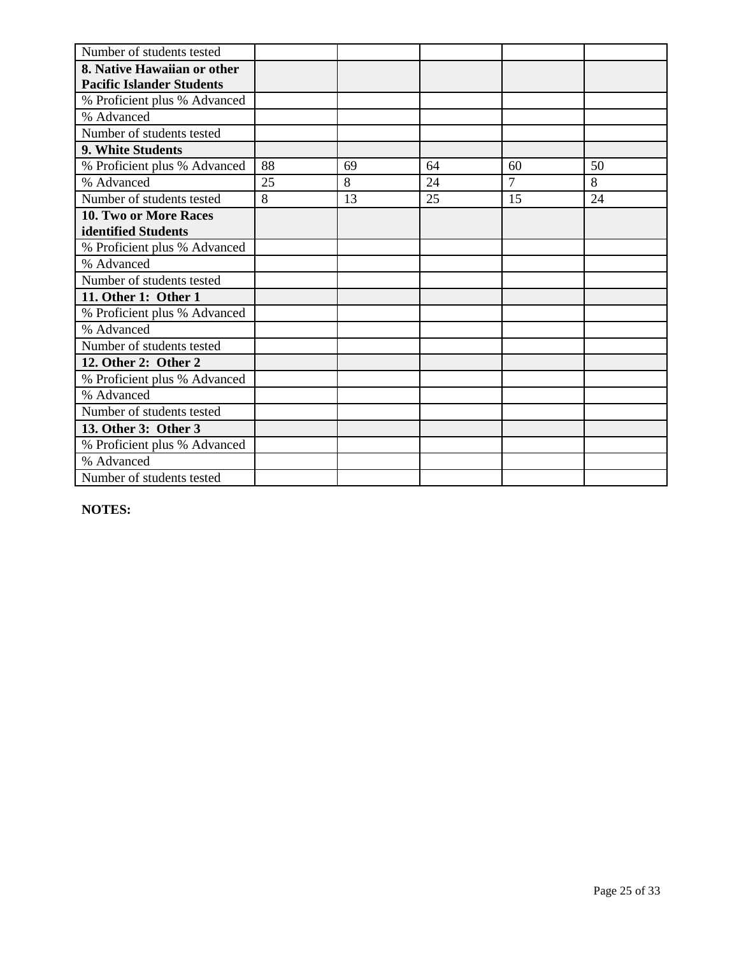| Number of students tested        |    |    |    |                |    |
|----------------------------------|----|----|----|----------------|----|
| 8. Native Hawaiian or other      |    |    |    |                |    |
| <b>Pacific Islander Students</b> |    |    |    |                |    |
| % Proficient plus % Advanced     |    |    |    |                |    |
| % Advanced                       |    |    |    |                |    |
| Number of students tested        |    |    |    |                |    |
| 9. White Students                |    |    |    |                |    |
| % Proficient plus % Advanced     | 88 | 69 | 64 | 60             | 50 |
| % Advanced                       | 25 | 8  | 24 | $\overline{7}$ | 8  |
| Number of students tested        | 8  | 13 | 25 | 15             | 24 |
| <b>10. Two or More Races</b>     |    |    |    |                |    |
| identified Students              |    |    |    |                |    |
| % Proficient plus % Advanced     |    |    |    |                |    |
| % Advanced                       |    |    |    |                |    |
| Number of students tested        |    |    |    |                |    |
| 11. Other 1: Other 1             |    |    |    |                |    |
| % Proficient plus % Advanced     |    |    |    |                |    |
| % Advanced                       |    |    |    |                |    |
| Number of students tested        |    |    |    |                |    |
| 12. Other 2: Other 2             |    |    |    |                |    |
| % Proficient plus % Advanced     |    |    |    |                |    |
| % Advanced                       |    |    |    |                |    |
| Number of students tested        |    |    |    |                |    |
| 13. Other 3: Other 3             |    |    |    |                |    |
| % Proficient plus % Advanced     |    |    |    |                |    |
| % Advanced                       |    |    |    |                |    |
| Number of students tested        |    |    |    |                |    |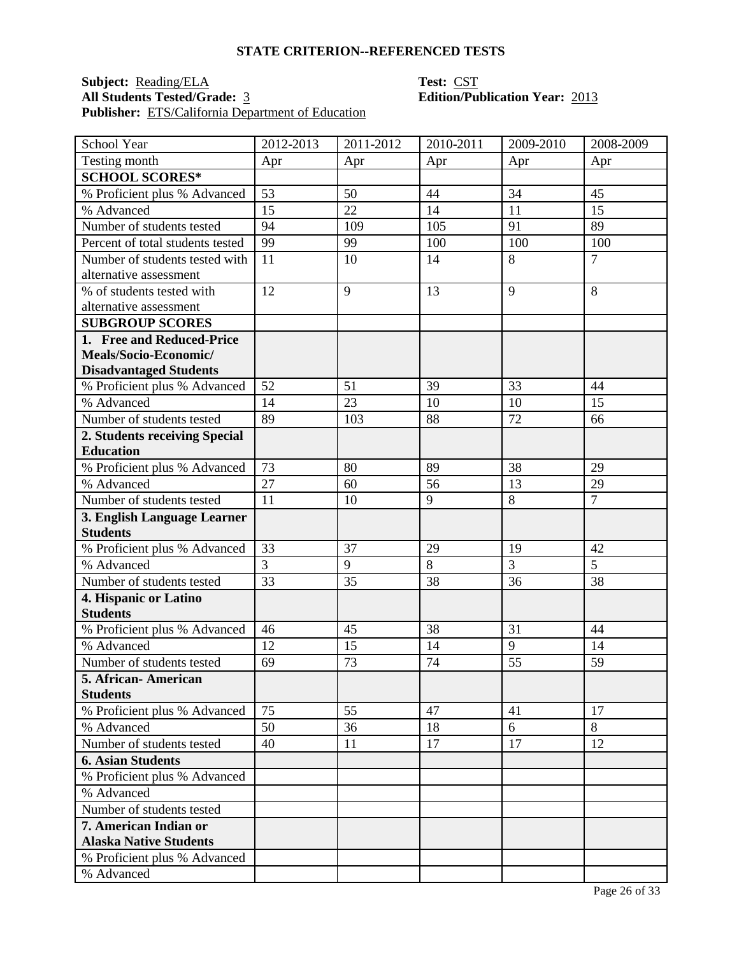### **Subject:** <u>Reading/ELA</u> **Test:** CST **All Students Tested/Grade:** 3 **Edition/Publication Year:** 2013 **Publisher:** ETS/California Department of Education

| School Year                                | 2012-2013 | 2011-2012 | 2010-2011 | 2009-2010       | 2008-2009      |
|--------------------------------------------|-----------|-----------|-----------|-----------------|----------------|
| Testing month                              | Apr       | Apr       | Apr       | Apr             | Apr            |
| <b>SCHOOL SCORES*</b>                      |           |           |           |                 |                |
| % Proficient plus % Advanced               | 53        | 50        | 44        | 34              | 45             |
| % Advanced                                 | 15        | 22        | 14        | 11              | 15             |
| Number of students tested                  | 94        | 109       | 105       | 91              | 89             |
| Percent of total students tested           | 99        | 99        | 100       | 100             | 100            |
| Number of students tested with             | 11        | 10        | 14        | 8               | $\overline{7}$ |
| alternative assessment                     |           |           |           |                 |                |
| % of students tested with                  | 12        | 9         | 13        | 9               | 8              |
| alternative assessment                     |           |           |           |                 |                |
| <b>SUBGROUP SCORES</b>                     |           |           |           |                 |                |
| 1. Free and Reduced-Price                  |           |           |           |                 |                |
| Meals/Socio-Economic/                      |           |           |           |                 |                |
| <b>Disadvantaged Students</b>              |           |           |           |                 |                |
| % Proficient plus % Advanced               | 52        | 51        | 39        | 33              | 44             |
| % Advanced                                 | 14        | 23        | 10        | 10              | 15             |
| Number of students tested                  | 89        | 103       | 88        | 72              | 66             |
| 2. Students receiving Special              |           |           |           |                 |                |
| <b>Education</b>                           |           |           |           |                 |                |
| % Proficient plus % Advanced               | 73        | 80        | 89        | 38              | 29             |
| % Advanced                                 | 27        | 60        | 56        | 13              | 29             |
| Number of students tested                  | 11        | 10        | 9         | 8               | $\overline{7}$ |
| 3. English Language Learner                |           |           |           |                 |                |
| <b>Students</b>                            |           |           |           |                 |                |
| % Proficient plus % Advanced               | 33        | 37        | 29        | 19              | 42             |
| % Advanced                                 | 3         | 9         | 8         | $\overline{3}$  | 5              |
| Number of students tested                  | 33        | 35        | 38        | 36              | 38             |
| 4. Hispanic or Latino<br><b>Students</b>   |           |           |           |                 |                |
|                                            | 46        | 45        | 38        | 31              | 44             |
| % Proficient plus % Advanced<br>% Advanced | 12        | 15        | 14        | 9               | 14             |
| Number of students tested                  | 69        | 73        | 74        | $\overline{55}$ | 59             |
| 5. African - American                      |           |           |           |                 |                |
| <b>Students</b>                            |           |           |           |                 |                |
| % Proficient plus % Advanced               | 75        | 55        | 47        | 41              | 17             |
| % Advanced                                 | 50        | 36        | 18        | 6               | 8              |
| Number of students tested                  | 40        | 11        | 17        | 17              | 12             |
| <b>6. Asian Students</b>                   |           |           |           |                 |                |
| % Proficient plus % Advanced               |           |           |           |                 |                |
| % Advanced                                 |           |           |           |                 |                |
| Number of students tested                  |           |           |           |                 |                |
| 7. American Indian or                      |           |           |           |                 |                |
| <b>Alaska Native Students</b>              |           |           |           |                 |                |
| % Proficient plus % Advanced               |           |           |           |                 |                |
| % Advanced                                 |           |           |           |                 |                |
|                                            |           |           |           |                 |                |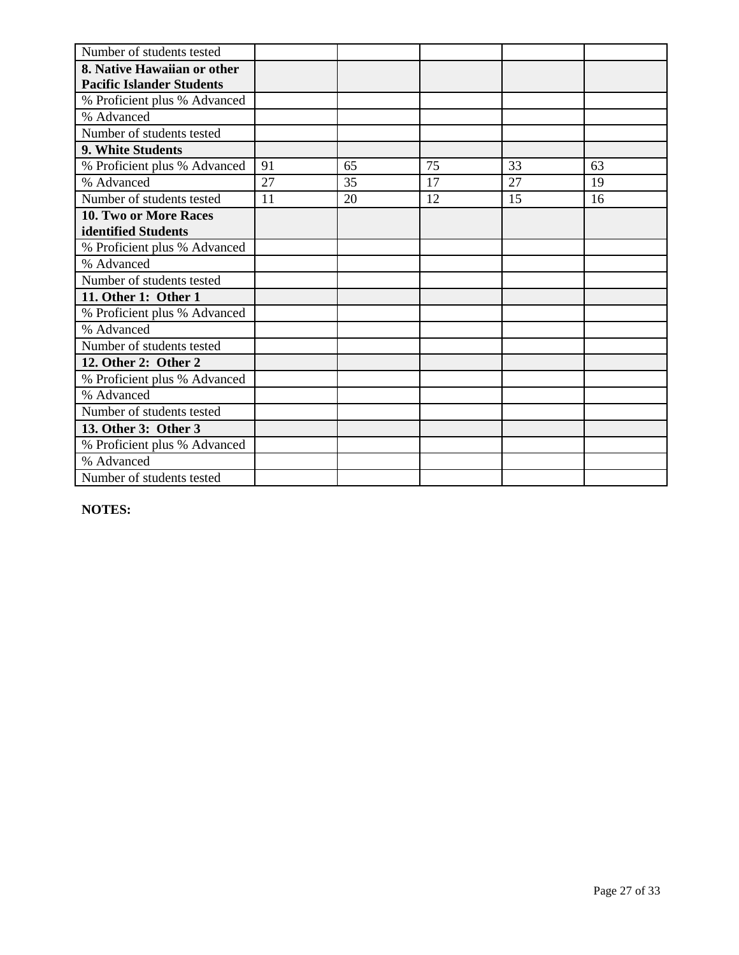| Number of students tested        |    |    |    |    |    |
|----------------------------------|----|----|----|----|----|
| 8. Native Hawaiian or other      |    |    |    |    |    |
| <b>Pacific Islander Students</b> |    |    |    |    |    |
| % Proficient plus % Advanced     |    |    |    |    |    |
| % Advanced                       |    |    |    |    |    |
| Number of students tested        |    |    |    |    |    |
| 9. White Students                |    |    |    |    |    |
| % Proficient plus % Advanced     | 91 | 65 | 75 | 33 | 63 |
| % Advanced                       | 27 | 35 | 17 | 27 | 19 |
| Number of students tested        | 11 | 20 | 12 | 15 | 16 |
| <b>10. Two or More Races</b>     |    |    |    |    |    |
| identified Students              |    |    |    |    |    |
| % Proficient plus % Advanced     |    |    |    |    |    |
| % Advanced                       |    |    |    |    |    |
| Number of students tested        |    |    |    |    |    |
| 11. Other 1: Other 1             |    |    |    |    |    |
| % Proficient plus % Advanced     |    |    |    |    |    |
| % Advanced                       |    |    |    |    |    |
| Number of students tested        |    |    |    |    |    |
| 12. Other 2: Other 2             |    |    |    |    |    |
| % Proficient plus % Advanced     |    |    |    |    |    |
| % Advanced                       |    |    |    |    |    |
| Number of students tested        |    |    |    |    |    |
| 13. Other 3: Other 3             |    |    |    |    |    |
| % Proficient plus % Advanced     |    |    |    |    |    |
| % Advanced                       |    |    |    |    |    |
| Number of students tested        |    |    |    |    |    |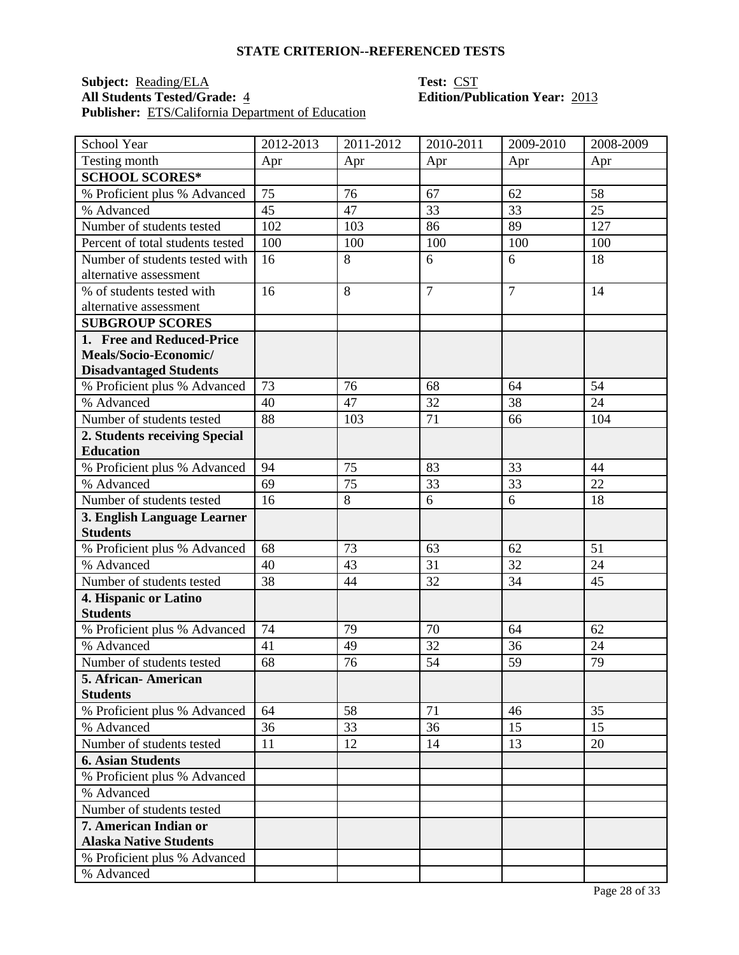## **Subject:** <u>Reading/ELA</u> **Test: CST**<br> **All Students Tested/Grade:** 4 **Edition/Pu Publisher:** ETS/California Department of Education

# **All Students Tested/Grade:** 4 **Edition/Publication Year:** 2013

| School Year                                    | 2012-2013 | 2011-2012 | 2010-2011      | 2009-2010      | 2008-2009       |
|------------------------------------------------|-----------|-----------|----------------|----------------|-----------------|
| Testing month                                  | Apr       | Apr       | Apr            | Apr            | Apr             |
| <b>SCHOOL SCORES*</b>                          |           |           |                |                |                 |
| % Proficient plus % Advanced                   | 75        | 76        | 67             | 62             | 58              |
| % Advanced                                     | 45        | 47        | 33             | 33             | 25              |
| Number of students tested                      | 102       | 103       | 86             | 89             | 127             |
| Percent of total students tested               | 100       | 100       | 100            | 100            | 100             |
| Number of students tested with                 | 16        | 8         | 6              | 6              | 18              |
| alternative assessment                         |           |           |                |                |                 |
| % of students tested with                      | 16        | 8         | $\overline{7}$ | $\overline{7}$ | 14              |
| alternative assessment                         |           |           |                |                |                 |
| <b>SUBGROUP SCORES</b>                         |           |           |                |                |                 |
| 1. Free and Reduced-Price                      |           |           |                |                |                 |
| Meals/Socio-Economic/                          |           |           |                |                |                 |
| <b>Disadvantaged Students</b>                  |           |           |                |                |                 |
| % Proficient plus % Advanced                   | 73        | 76        | 68             | 64             | 54              |
| % Advanced                                     | 40        | 47        | 32             | 38             | $\overline{24}$ |
| Number of students tested                      | 88        | 103       | 71             | 66             | 104             |
| 2. Students receiving Special                  |           |           |                |                |                 |
| <b>Education</b>                               |           |           |                |                |                 |
| % Proficient plus % Advanced                   | 94        | 75        | 83             | 33             | 44              |
| % Advanced                                     | 69        | 75        | 33             | 33             | 22              |
| Number of students tested                      | 16        | 8         | 6              | 6              | 18              |
| 3. English Language Learner<br><b>Students</b> |           |           |                |                |                 |
| % Proficient plus % Advanced                   | 68        | 73        | 63             | 62             | 51              |
| % Advanced                                     | 40        | 43        | 31             | 32             | 24              |
| Number of students tested                      | 38        | 44        | 32             | 34             | 45              |
| 4. Hispanic or Latino                          |           |           |                |                |                 |
| <b>Students</b>                                |           |           |                |                |                 |
| % Proficient plus % Advanced                   | 74        | 79        | 70             | 64             | 62              |
| % Advanced                                     | 41        | 49        | 32             | 36             | 24              |
| Number of students tested                      | 68        | 76        | 54             | 59             | 79              |
| 5. African- American                           |           |           |                |                |                 |
| <b>Students</b>                                |           |           |                |                |                 |
| % Proficient plus % Advanced                   | 64        | 58        | 71             | 46             | 35              |
| % Advanced                                     | 36        | 33        | 36             | 15             | 15              |
| Number of students tested                      | 11        | 12        | 14             | 13             | 20              |
| <b>6. Asian Students</b>                       |           |           |                |                |                 |
| % Proficient plus % Advanced                   |           |           |                |                |                 |
| % Advanced                                     |           |           |                |                |                 |
| Number of students tested                      |           |           |                |                |                 |
| 7. American Indian or                          |           |           |                |                |                 |
| <b>Alaska Native Students</b>                  |           |           |                |                |                 |
| % Proficient plus % Advanced                   |           |           |                |                |                 |
| % Advanced                                     |           |           |                |                |                 |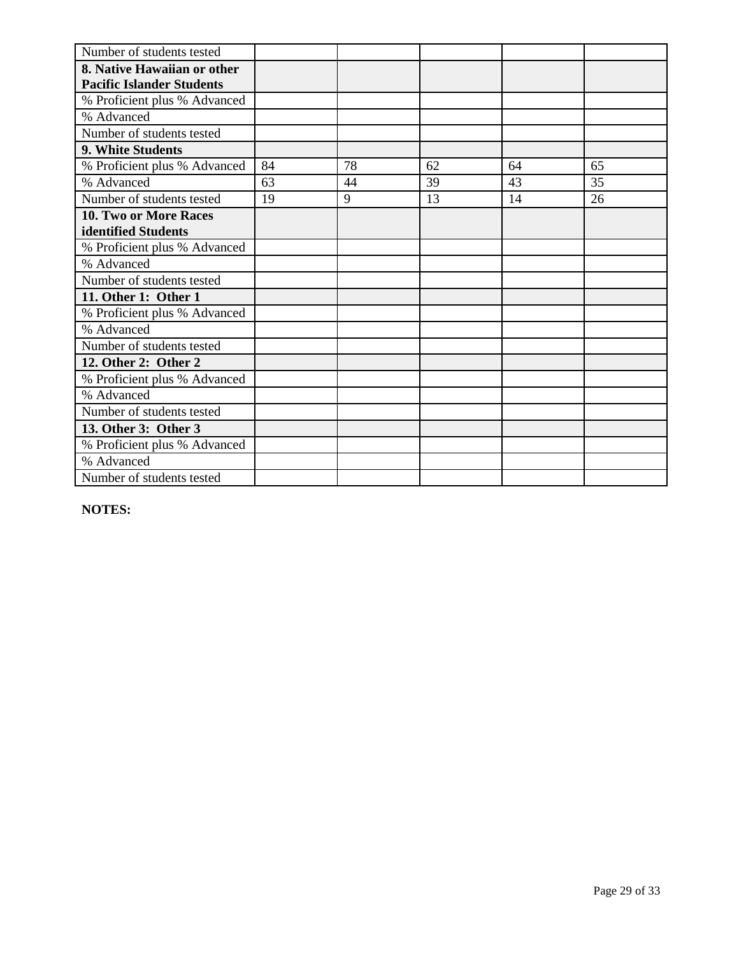| Number of students tested        |    |    |    |    |    |
|----------------------------------|----|----|----|----|----|
| 8. Native Hawaiian or other      |    |    |    |    |    |
| <b>Pacific Islander Students</b> |    |    |    |    |    |
| % Proficient plus % Advanced     |    |    |    |    |    |
| % Advanced                       |    |    |    |    |    |
| Number of students tested        |    |    |    |    |    |
| 9. White Students                |    |    |    |    |    |
| % Proficient plus % Advanced     | 84 | 78 | 62 | 64 | 65 |
| % Advanced                       | 63 | 44 | 39 | 43 | 35 |
| Number of students tested        | 19 | 9  | 13 | 14 | 26 |
| <b>10. Two or More Races</b>     |    |    |    |    |    |
| identified Students              |    |    |    |    |    |
| % Proficient plus % Advanced     |    |    |    |    |    |
| % Advanced                       |    |    |    |    |    |
| Number of students tested        |    |    |    |    |    |
| 11. Other 1: Other 1             |    |    |    |    |    |
| % Proficient plus % Advanced     |    |    |    |    |    |
| % Advanced                       |    |    |    |    |    |
| Number of students tested        |    |    |    |    |    |
| 12. Other 2: Other 2             |    |    |    |    |    |
| % Proficient plus % Advanced     |    |    |    |    |    |
| % Advanced                       |    |    |    |    |    |
| Number of students tested        |    |    |    |    |    |
| 13. Other 3: Other 3             |    |    |    |    |    |
| % Proficient plus % Advanced     |    |    |    |    |    |
| % Advanced                       |    |    |    |    |    |
| Number of students tested        |    |    |    |    |    |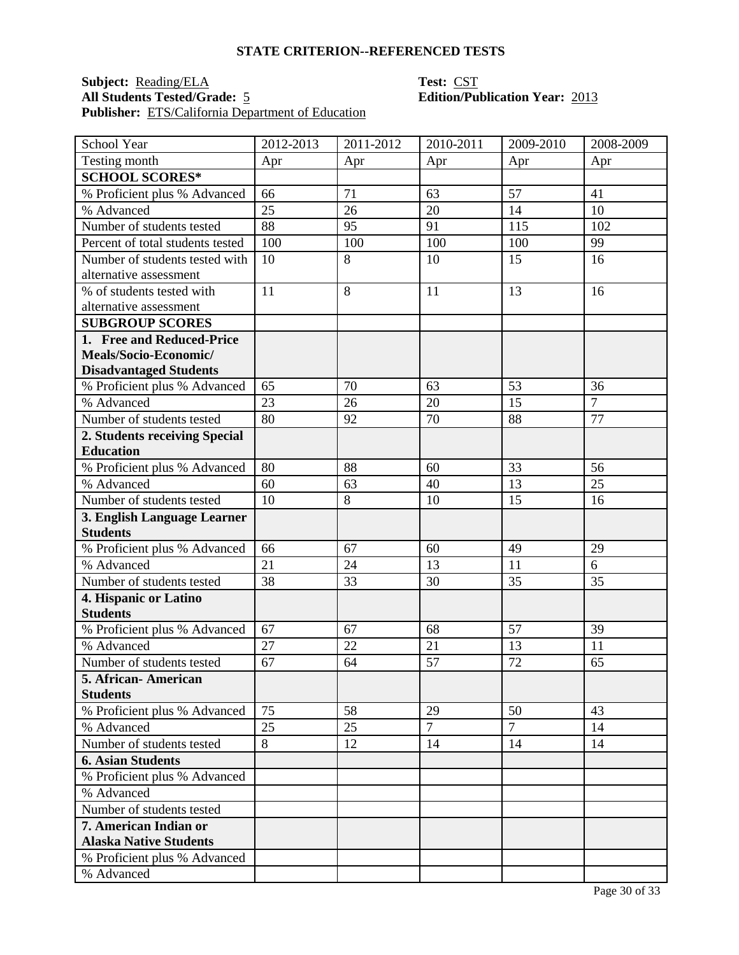### **Subject:** <u>Reading/ELA</u> **Test:** CST **All Students Tested/Grade:** 5 **Edition/Publication Year:** 2013 **Publisher:** ETS/California Department of Education

| School Year                      | 2012-2013 | 2011-2012 | 2010-2011      | 2009-2010      | 2008-2009      |
|----------------------------------|-----------|-----------|----------------|----------------|----------------|
| Testing month                    | Apr       | Apr       | Apr            | Apr            | Apr            |
| <b>SCHOOL SCORES*</b>            |           |           |                |                |                |
| % Proficient plus % Advanced     | 66        | 71        | 63             | 57             | 41             |
| % Advanced                       | 25        | 26        | 20             | 14             | 10             |
| Number of students tested        | 88        | 95        | 91             | 115            | 102            |
| Percent of total students tested | 100       | 100       | 100            | 100            | 99             |
| Number of students tested with   | 10        | 8         | 10             | 15             | 16             |
| alternative assessment           |           |           |                |                |                |
| % of students tested with        | 11        | 8         | 11             | 13             | 16             |
| alternative assessment           |           |           |                |                |                |
| <b>SUBGROUP SCORES</b>           |           |           |                |                |                |
| 1. Free and Reduced-Price        |           |           |                |                |                |
| Meals/Socio-Economic/            |           |           |                |                |                |
| <b>Disadvantaged Students</b>    |           |           |                |                |                |
| % Proficient plus % Advanced     | 65        | 70        | 63             | 53             | 36             |
| % Advanced                       | 23        | 26        | 20             | 15             | $\overline{7}$ |
| Number of students tested        | 80        | 92        | 70             | 88             | 77             |
| 2. Students receiving Special    |           |           |                |                |                |
| <b>Education</b>                 |           |           |                |                |                |
| % Proficient plus % Advanced     | 80        | 88        | 60             | 33             | 56             |
| % Advanced                       | 60        | 63        | 40             | 13             | 25             |
| Number of students tested        | 10        | 8         | 10             | 15             | 16             |
| 3. English Language Learner      |           |           |                |                |                |
| <b>Students</b>                  |           |           |                |                |                |
| % Proficient plus % Advanced     | 66        | 67        | 60             | 49             | 29             |
| % Advanced                       | 21        | 24        | 13             | 11             | 6              |
| Number of students tested        | 38        | 33        | 30             | 35             | 35             |
| 4. Hispanic or Latino            |           |           |                |                |                |
| <b>Students</b>                  |           |           |                |                |                |
| % Proficient plus % Advanced     | 67        | 67        | 68             | 57             | 39             |
| % Advanced                       | 27        | 22        | 21             | 13             | 11             |
| Number of students tested        | 67        | 64        | 57             | 72             | 65             |
| 5. African- American             |           |           |                |                |                |
| <b>Students</b>                  |           |           |                |                |                |
| % Proficient plus % Advanced     | 75        | 58        | 29             | 50             | 43             |
| % Advanced                       | 25        | 25        | $\overline{7}$ | $\overline{7}$ | 14             |
| Number of students tested        | 8         | 12        | 14             | 14             | 14             |
| <b>6. Asian Students</b>         |           |           |                |                |                |
| % Proficient plus % Advanced     |           |           |                |                |                |
| % Advanced                       |           |           |                |                |                |
| Number of students tested        |           |           |                |                |                |
| 7. American Indian or            |           |           |                |                |                |
| <b>Alaska Native Students</b>    |           |           |                |                |                |
| % Proficient plus % Advanced     |           |           |                |                |                |
| % Advanced                       |           |           |                |                |                |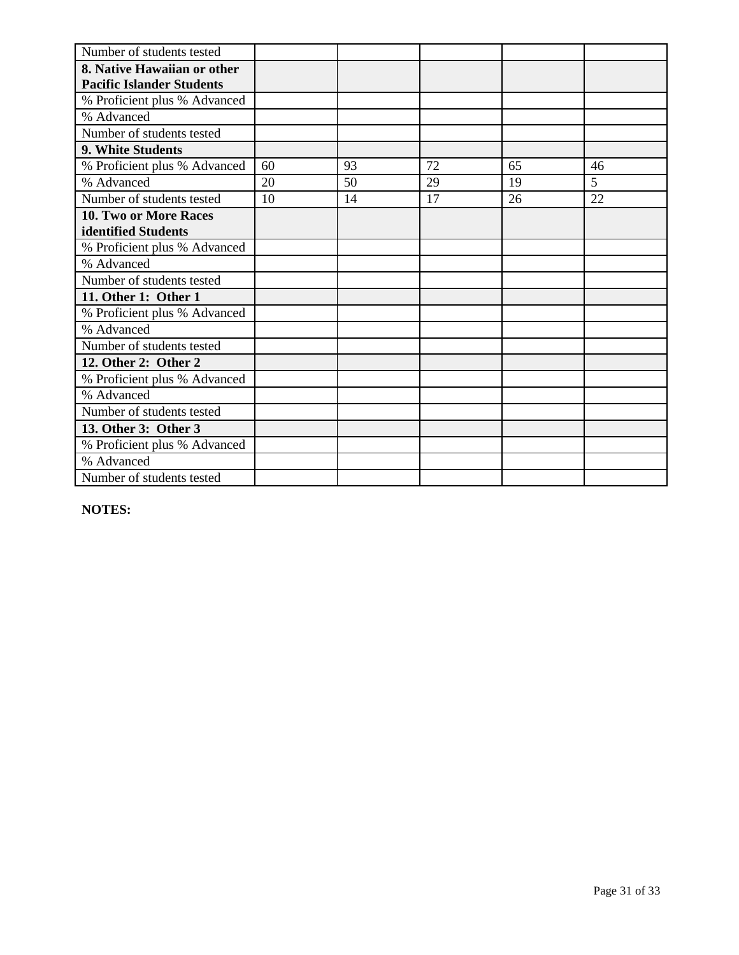| Number of students tested        |    |    |    |    |    |
|----------------------------------|----|----|----|----|----|
| 8. Native Hawaiian or other      |    |    |    |    |    |
| <b>Pacific Islander Students</b> |    |    |    |    |    |
| % Proficient plus % Advanced     |    |    |    |    |    |
| % Advanced                       |    |    |    |    |    |
| Number of students tested        |    |    |    |    |    |
| 9. White Students                |    |    |    |    |    |
| % Proficient plus % Advanced     | 60 | 93 | 72 | 65 | 46 |
| % Advanced                       | 20 | 50 | 29 | 19 | 5  |
| Number of students tested        | 10 | 14 | 17 | 26 | 22 |
| <b>10. Two or More Races</b>     |    |    |    |    |    |
| identified Students              |    |    |    |    |    |
| % Proficient plus % Advanced     |    |    |    |    |    |
| % Advanced                       |    |    |    |    |    |
| Number of students tested        |    |    |    |    |    |
| 11. Other 1: Other 1             |    |    |    |    |    |
| % Proficient plus % Advanced     |    |    |    |    |    |
| % Advanced                       |    |    |    |    |    |
| Number of students tested        |    |    |    |    |    |
| 12. Other 2: Other 2             |    |    |    |    |    |
| % Proficient plus % Advanced     |    |    |    |    |    |
| % Advanced                       |    |    |    |    |    |
| Number of students tested        |    |    |    |    |    |
| 13. Other 3: Other 3             |    |    |    |    |    |
| % Proficient plus % Advanced     |    |    |    |    |    |
| % Advanced                       |    |    |    |    |    |
| Number of students tested        |    |    |    |    |    |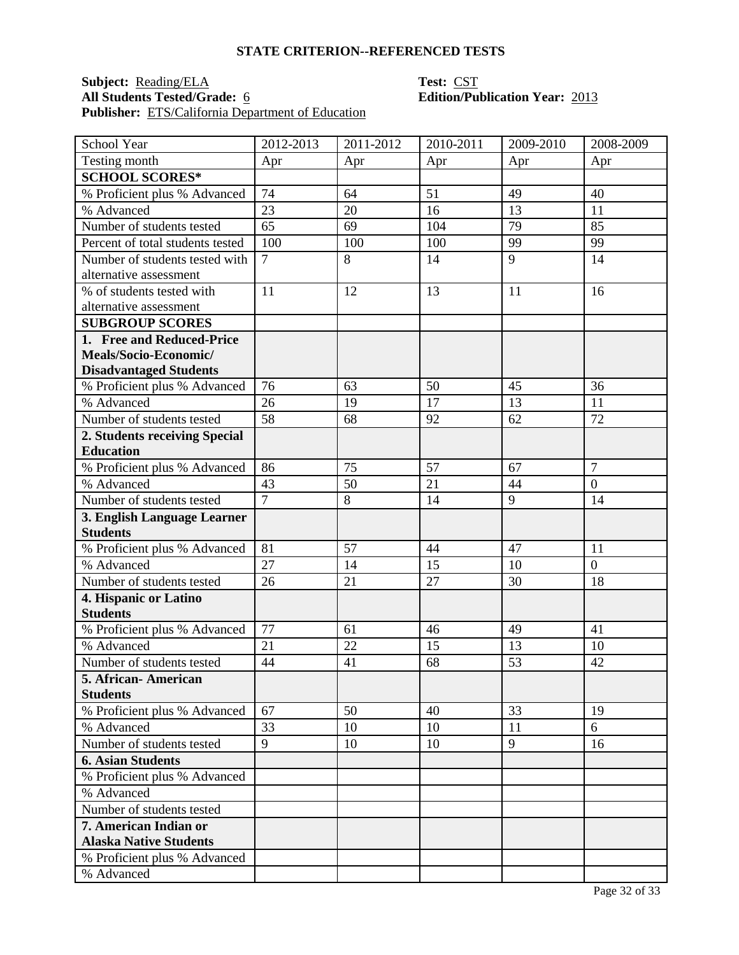## **Subject:** <u>Reading/ELA</u> **Test:** <u>CST</u><br> **All Students Tested/Grade:** 6 **COVID-10 Edition/Pu** Publisher: ETS/California Department of Education

# **All Students Tested/Grade:** 6 **Edition/Publication Year:** 2013

| School Year                                    | 2012-2013      | 2011-2012 | 2010-2011 | 2009-2010 | 2008-2009      |
|------------------------------------------------|----------------|-----------|-----------|-----------|----------------|
| Testing month                                  | Apr            | Apr       | Apr       | Apr       | Apr            |
| <b>SCHOOL SCORES*</b>                          |                |           |           |           |                |
| % Proficient plus % Advanced                   | 74             | 64        | 51        | 49        | 40             |
| % Advanced                                     | 23             | 20        | 16        | 13        | 11             |
| Number of students tested                      | 65             | 69        | 104       | 79        | 85             |
| Percent of total students tested               | 100            | 100       | 100       | 99        | 99             |
| Number of students tested with                 | $\overline{7}$ | 8         | 14        | 9         | 14             |
| alternative assessment                         |                |           |           |           |                |
| % of students tested with                      | 11             | 12        | 13        | 11        | 16             |
| alternative assessment                         |                |           |           |           |                |
| <b>SUBGROUP SCORES</b>                         |                |           |           |           |                |
| 1. Free and Reduced-Price                      |                |           |           |           |                |
| Meals/Socio-Economic/                          |                |           |           |           |                |
| <b>Disadvantaged Students</b>                  |                |           |           |           |                |
| % Proficient plus % Advanced                   | 76             | 63        | 50        | 45        | 36             |
| % Advanced                                     | 26             | 19        | 17        | 13        | 11             |
| Number of students tested                      | 58             | 68        | 92        | 62        | 72             |
| 2. Students receiving Special                  |                |           |           |           |                |
| <b>Education</b>                               |                |           |           |           |                |
| % Proficient plus % Advanced                   | 86             | 75        | 57        | 67        | $\overline{7}$ |
| % Advanced                                     | 43             | 50        | 21        | 44        | $\overline{0}$ |
| Number of students tested                      | $\overline{7}$ | 8         | 14        | 9         | 14             |
| 3. English Language Learner<br><b>Students</b> |                |           |           |           |                |
| % Proficient plus % Advanced                   | 81             | 57        | 44        | 47        | 11             |
| % Advanced                                     | 27             | 14        | 15        | 10        | $\overline{0}$ |
| Number of students tested                      | 26             | 21        | 27        | 30        | 18             |
| 4. Hispanic or Latino                          |                |           |           |           |                |
| <b>Students</b>                                |                |           |           |           |                |
| % Proficient plus % Advanced                   | 77             | 61        | 46        | 49        | 41             |
| % Advanced                                     | 21             | 22        | 15        | 13        | 10             |
| Number of students tested                      | 44             | 41        | 68        | 53        | 42             |
| 5. African - American                          |                |           |           |           |                |
| <b>Students</b>                                |                |           |           |           |                |
| % Proficient plus % Advanced                   | 67             | 50        | 40        | 33        | 19             |
| % Advanced                                     | 33             | 10        | 10        | 11        | 6              |
| Number of students tested                      | 9              | 10        | 10        | 9         | 16             |
| <b>6. Asian Students</b>                       |                |           |           |           |                |
| % Proficient plus % Advanced                   |                |           |           |           |                |
| % Advanced                                     |                |           |           |           |                |
| Number of students tested                      |                |           |           |           |                |
| 7. American Indian or                          |                |           |           |           |                |
| <b>Alaska Native Students</b>                  |                |           |           |           |                |
| % Proficient plus % Advanced                   |                |           |           |           |                |
| % Advanced                                     |                |           |           |           |                |